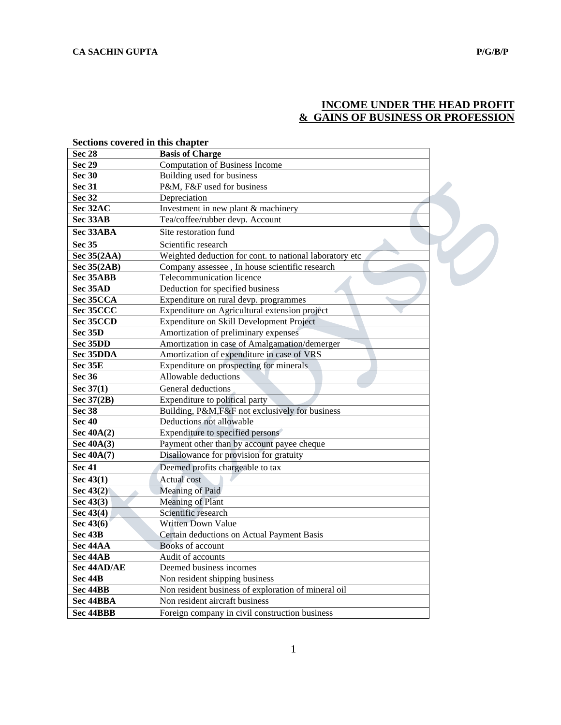# **INCOME UNDER THE HEAD PROFIT & GAINS OF BUSINESS OR PROFESSION**

| secuons covereu in uns chapter |                                                         |
|--------------------------------|---------------------------------------------------------|
| <b>Sec 28</b>                  | <b>Basis of Charge</b>                                  |
| <b>Sec 29</b>                  | <b>Computation of Business Income</b>                   |
| <b>Sec 30</b>                  | Building used for business                              |
| <b>Sec 31</b>                  | P&M, F&F used for business                              |
| <b>Sec 32</b>                  | Depreciation                                            |
| Sec 32AC                       | Investment in new plant & machinery                     |
| Sec 33AB                       | Tea/coffee/rubber devp. Account                         |
| Sec 33ABA                      | Site restoration fund                                   |
| <b>Sec 35</b>                  | Scientific research                                     |
| Sec 35(2AA)                    | Weighted deduction for cont. to national laboratory etc |
| Sec 35(2AB)                    | Company assessee, In house scientific research          |
| Sec 35ABB                      | Telecommunication licence                               |
| Sec 35AD                       | Deduction for specified business                        |
| Sec 35CCA                      | Expenditure on rural devp. programmes                   |
| Sec 35CCC                      | Expenditure on Agricultural extension project           |
| Sec 35CCD                      | Expenditure on Skill Development Project                |
| Sec 35D                        | Amortization of preliminary expenses                    |
| Sec 35DD                       | Amortization in case of Amalgamation/demerger           |
| Sec 35DDA                      | Amortization of expenditure in case of VRS              |
| Sec 35E                        | Expenditure on prospecting for minerals                 |
| <b>Sec 36</b>                  | Allowable deductions                                    |
| Sec 37(1)                      | General deductions                                      |
| Sec 37(2B)                     | Expenditure to political party                          |
| Sec 38                         | Building, P&M, F&F not exclusively for business         |
| <b>Sec 40</b>                  | Deductions not allowable                                |
| Sec $40A(2)$                   | Expenditure to specified persons                        |
| Sec 40A(3)                     | Payment other than by account payee cheque              |
| Sec $40A(7)$                   | Disallowance for provision for gratuity                 |
| <b>Sec 41</b>                  | Deemed profits chargeable to tax                        |
| Sec $43(1)$                    | <b>Actual</b> cost                                      |
| Sec $43(2)$                    | Meaning of Paid                                         |
| Sec 43(3)                      | <b>Meaning of Plant</b>                                 |
| Sec 43(4)                      | Scientific research                                     |
| Sec 43(6)                      | Written Down Value                                      |
| Sec 43B                        | Certain deductions on Actual Payment Basis              |
| Sec 44AA                       | Books of account                                        |
| Sec 44AB                       | Audit of accounts                                       |
| Sec 44AD/AE                    | Deemed business incomes                                 |
| Sec 44B                        | Non resident shipping business                          |
| Sec 44BB                       | Non resident business of exploration of mineral oil     |
| Sec 44BBA                      | Non resident aircraft business                          |
| Sec 44BBB                      | Foreign company in civil construction business          |

# **Sections covered in this chapter**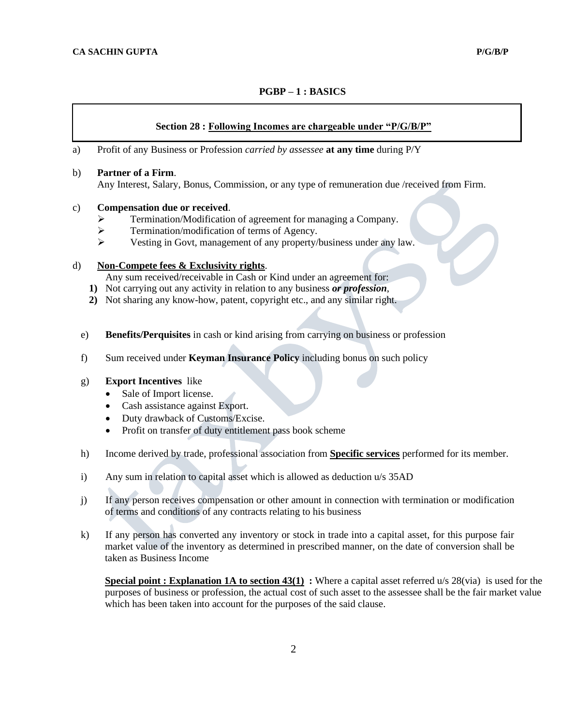# **PGBP – 1 : BASICS**

#### **Section 28 : Following Incomes are chargeable under "P/G/B/P"**

#### a) Profit of any Business or Profession *carried by assessee* **at any time** during P/Y

#### b) **Partner of a Firm**. Any Interest, Salary, Bonus, Commission, or any type of remuneration due /received from Firm.

#### c) **Compensation due or received**.

- ➢ Termination/Modification of agreement for managing a Company.
- ➢ Termination/modification of terms of Agency.
- ➢ Vesting in Govt, management of any property/business under any law.

# d) **Non-Compete fees & Exclusivity rights**.

Any sum received/receivable in Cash or Kind under an agreement for:

- **1)** Not carrying out any activity in relation to any business *or profession*,
- **2)** Not sharing any know-how, patent, copyright etc., and any similar right.
- e) **Benefits/Perquisites** in cash or kind arising from carrying on business or profession
- f) Sum received under **Keyman Insurance Policy** including bonus on such policy

#### g) **Export Incentives** like

- Sale of Import license.
- Cash assistance against Export.
- Duty drawback of Customs/Excise.
- Profit on transfer of duty entitlement pass book scheme
- h) Income derived by trade, professional association from **Specific services** performed for its member.
- i) Any sum in relation to capital asset which is allowed as deduction u/s 35AD
- j) If any person receives compensation or other amount in connection with termination or modification of terms and conditions of any contracts relating to his business
- k) If any person has converted any inventory or stock in trade into a capital asset, for this purpose fair market value of the inventory as determined in prescribed manner, on the date of conversion shall be taken as Business Income

**Special point : Explanation 1A to section 43(1) :** Where a capital asset referred u/s 28(via) is used for the purposes of business or profession, the actual cost of such asset to the assessee shall be the fair market value which has been taken into account for the purposes of the said clause.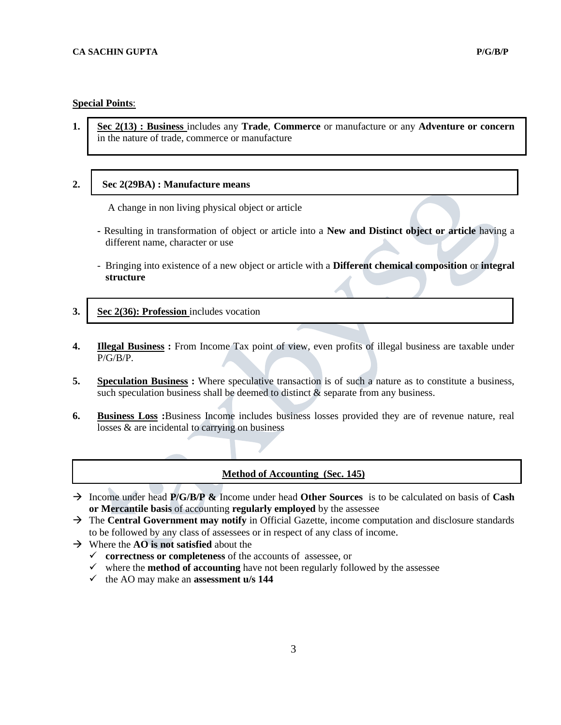# **Special Points**:

**1. Sec 2(13) : Business** includes any **Trade**, **Commerce** or manufacture or any **Adventure or concern** in the nature of trade, commerce or manufacture

#### **2. Sec 2(29BA) : Manufacture means**

A change in non living physical object or article

- **-** Resulting in transformation of object or article into a **New and Distinct object or article** having a different name, character or use
- Bringing into existence of a new object or article with a **Different chemical composition** or **integral structure**
- **3. Sec 2(36): Profession** includes vocation
- **4. Illegal Business :** From Income Tax point of view, even profits of illegal business are taxable under P/G/B/P.
- **5. Speculation Business :** Where speculative transaction is of such a nature as to constitute a business, such speculation business shall be deemed to distinct  $\&$  separate from any business.
- **6. Business Loss :**Business Income includes business losses provided they are of revenue nature, real losses & are incidental to carrying on business

## **Method of Accounting (Sec. 145)**

- → Income under head **P/G/B/P &** Income under head **Other Sources** is to be calculated on basis of **Cash or Mercantile basis** of accounting **regularly employed** by the assessee
- → The **Central Government may notify** in Official Gazette, income computation and disclosure standards to be followed by any class of assessees or in respect of any class of income.
- → Where the **AO is not satisfied** about the
	- ✓ **correctness or completeness** of the accounts of assessee, or
	- $\checkmark$  where the **method of accounting** have not been regularly followed by the assessee
	- ✓ the AO may make an **assessment u/s [144](mk:@MSITStore:C:/Program%20Files/Taxmann/ITACT2009/DataITA/CHMs/ITAct2009.chm::/ITAct2009/section144.htm)**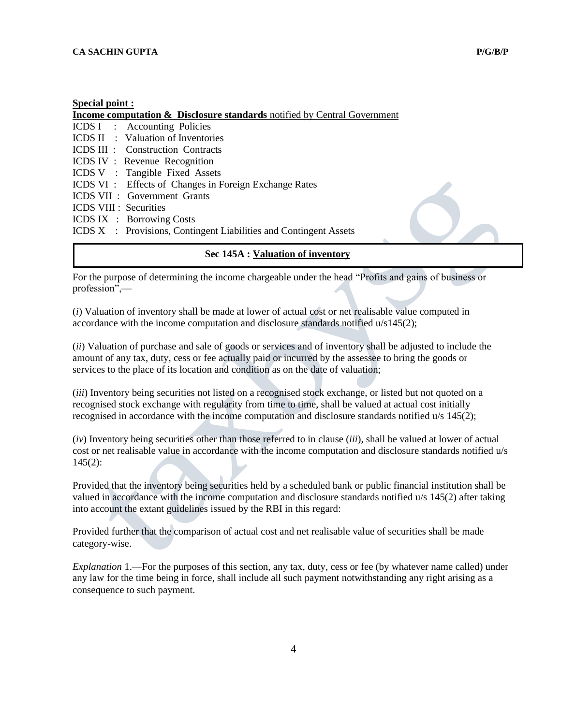#### **Special point :**

**Income computation & Disclosure standards** notified by Central Government ICDS I : Accounting Policies ICDS II : Valuation of Inventories ICDS III : Construction Contracts ICDS IV : Revenue Recognition ICDS V : Tangible Fixed Assets ICDS VI : Effects of Changes in Foreign Exchange Rates ICDS VII : Government Grants ICDS VIII : Securities ICDS IX : Borrowing Costs ICDS X : Provisions, Contingent Liabilities and Contingent Assets

## **Sec 145A : Valuation of inventory**

For the purpose of determining the income chargeable under the head "Profits and gains of business or profession",––

(*i*) Valuation of inventory shall be made at lower of actual cost or net realisable value computed in accordance with the income computation and disclosure standards notified  $u/s145(2)$ ;

(*ii*) Valuation of purchase and sale of goods or services and of inventory shall be adjusted to include the amount of any tax, duty, cess or fee actually paid or incurred by the assessee to bring the goods or services to the place of its location and condition as on the date of valuation;

*(iii)* Inventory being securities not listed on a recognised stock exchange, or listed but not quoted on a recognised stock exchange with regularity from time to time, shall be valued at actual cost initially recognised in accordance with the income computation and disclosure standards notified u/s 145(2);

(*iv*) Inventory being securities other than those referred to in clause (*iii*), shall be valued at lower of actual cost or net realisable value in accordance with the income computation and disclosure standards notified u/s 145(2):

Provided that the inventory being securities held by a scheduled bank or public financial institution shall be valued in accordance with the income computation and disclosure standards notified u/s 145(2) after taking into account the extant guidelines issued by the RBI in this regard:

Provided further that the comparison of actual cost and net realisable value of securities shall be made category-wise.

*Explanation* 1.—For the purposes of this section, any tax, duty, cess or fee (by whatever name called) under any law for the time being in force, shall include all such payment notwithstanding any right arising as a consequence to such payment.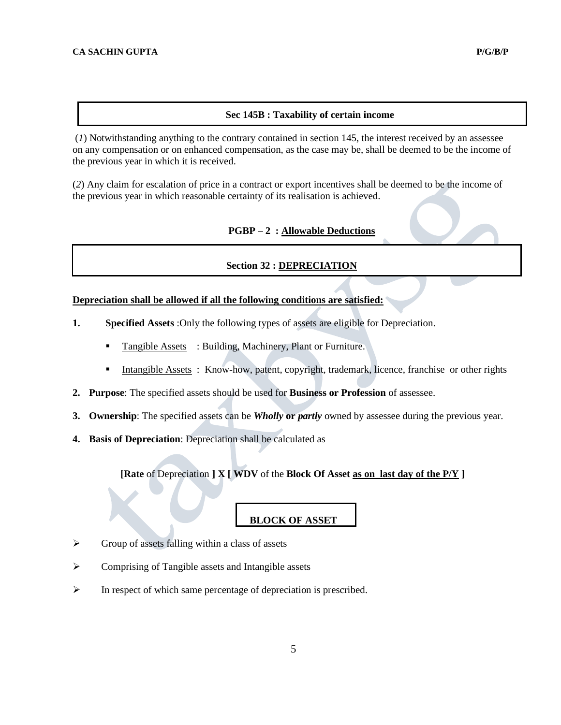#### **Sec 145B : Taxability of certain income**

(*1*) Notwithstanding anything to the contrary contained in section 145, the interest received by an assessee on any compensation or on enhanced compensation, as the case may be, shall be deemed to be the income of the previous year in which it is received.

(*2*) Any claim for escalation of price in a contract or export incentives shall be deemed to be the income of the previous year in which reasonable certainty of its realisation is achieved.

#### **PGBP – 2 : Allowable Deductions**

## **Section 32 : DEPRECIATION**

# **Depreciation shall be allowed if all the following conditions are satisfied:**

- **1. Specified Assets** :Only the following types of assets are eligible for Depreciation.
	- Tangible Assets : Building, Machinery, Plant or Furniture.
	- **Intangible Assets** : Know-how, patent, copyright, trademark, licence, franchise or other rights
- **2. Purpose**: The specified assets should be used for **Business or Profession** of assessee.
- **3. Ownership**: The specified assets can be *Wholly* **or** *partly* owned by assessee during the previous year.
- **4. Basis of Depreciation**: Depreciation shall be calculated as

**[Rate** of Depreciation **] X [ WDV** of the **Block Of Asset as on last day of the P/Y ]**

## **BLOCK OF ASSET**

- ➢ Group of assets falling within a class of assets
- ➢ Comprising of Tangible assets and Intangible assets
- ➢ In respect of which same percentage of depreciation is prescribed.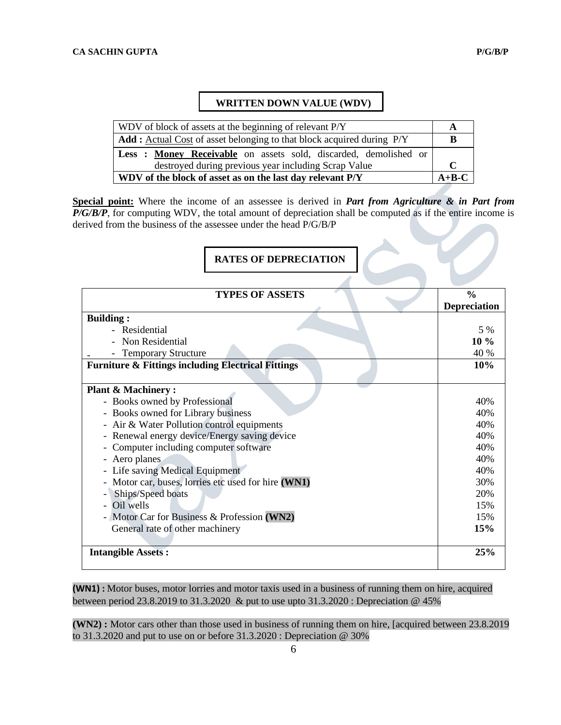# **WRITTEN DOWN VALUE (WDV)**

| WDV of block of assets at the beginning of relevant P/Y                      |  |  |
|------------------------------------------------------------------------------|--|--|
| <b>Add:</b> Actual Cost of asset belonging to that block acquired during P/Y |  |  |
| Less: Money Receivable on assets sold, discarded, demolished or              |  |  |
| destroyed during previous year including Scrap Value                         |  |  |
| WDV of the block of asset as on the last day relevant P/Y                    |  |  |

**Special point:** Where the income of an assessee is derived in *Part from Agriculture & in Part from P/G/B/P*, for computing WDV, the total amount of depreciation shall be computed as if the entire income is derived from the business of the assessee under the head P/G/B/P

# **RATES OF DEPRECIATION**

| <b>TYPES OF ASSETS</b>                                        | $\frac{0}{0}$       |
|---------------------------------------------------------------|---------------------|
|                                                               | <b>Depreciation</b> |
| <b>Building:</b>                                              |                     |
| - Residential                                                 | 5 %                 |
| Non Residential                                               | $10\%$              |
| <b>Temporary Structure</b>                                    | 40 %                |
| <b>Furniture &amp; Fittings including Electrical Fittings</b> | 10%                 |
| <b>Plant &amp; Machinery:</b>                                 |                     |
| - Books owned by Professional                                 | 40%                 |
| - Books owned for Library business                            | 40%                 |
| - Air & Water Pollution control equipments                    | 40%                 |
| - Renewal energy device/Energy saving device                  | 40%                 |
| - Computer including computer software                        | 40%                 |
| - Aero planes                                                 | 40%                 |
| - Life saving Medical Equipment                               | 40%                 |
| Motor car, buses, lorries etc used for hire (WN1)             | 30%                 |
| Ships/Speed boats                                             | 20%                 |
| Oil wells                                                     | 15%                 |
| - Motor Car for Business & Profession (WN2)                   | 15%                 |
| General rate of other machinery                               | 15%                 |
| <b>Intangible Assets:</b>                                     | 25%                 |

**(WN1) :** Motor buses, motor lorries and motor taxis used in a business of running them on hire, acquired between period 23.8.2019 to 31.3.2020 & put to use upto 31.3.2020 : Depreciation @ 45%

**(WN2) :** Motor cars other than those used in business of running them on hire, [acquired between 23.8.2019 to 31.3.2020 and put to use on or before 31.3.2020 : Depreciation @ 30%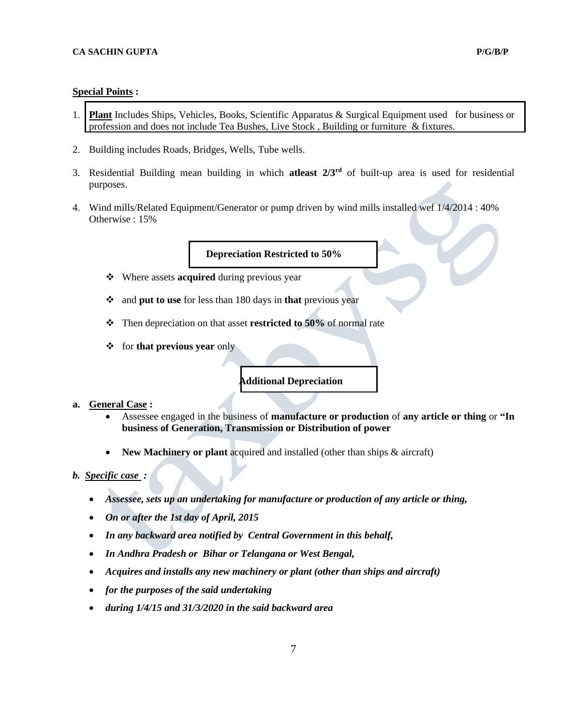# **Special Points :**

- 1. **Plant** Includes Ships, Vehicles, Books, Scientific Apparatus & Surgical Equipment used for business or profession and does not include Tea Bushes, Live Stock , Building or furniture & fixtures.
- 2. Building includes Roads, Bridges, Wells, Tube wells.
- 3. Residential Building mean building in which **atleast 2/3rd** of built-up area is used for residential purposes.
- 4. Wind mills/Related Equipment/Generator or pump driven by wind mills installed wef 1/4/2014 : 40% Otherwise : 15%

# **Depreciation Restricted to 50%**

- ❖ Where assets **acquired** during previous year
- ❖ and **put to use** for less than 180 days in **that** previous year
- ❖ Then depreciation on that asset **restricted to 50%** of normal rate
- ❖ for **that previous year** only

# **Additional Depreciation**

# **a. General Case :**

- Assessee engaged in the business of **manufacture or production** of **any article or thing** or **"In business of Generation, Transmission or Distribution of power**
- **New Machinery or plant** acquired and installed (other than ships  $\&$  aircraft)

#### *b. Specific case :*

- *Assessee, sets up an undertaking for manufacture or production of any article or thing,*
- *On or after the 1st day of April, 2015*
- *In any backward area notified by Central Government in this behalf,*
- *In Andhra Pradesh or Bihar or Telangana or West Bengal,*
- *Acquires and installs any new machinery or plant (other than ships and aircraft)*
- *for the purposes of the said undertaking*
- *during 1/4/15 and 31/3/2020 in the said backward area*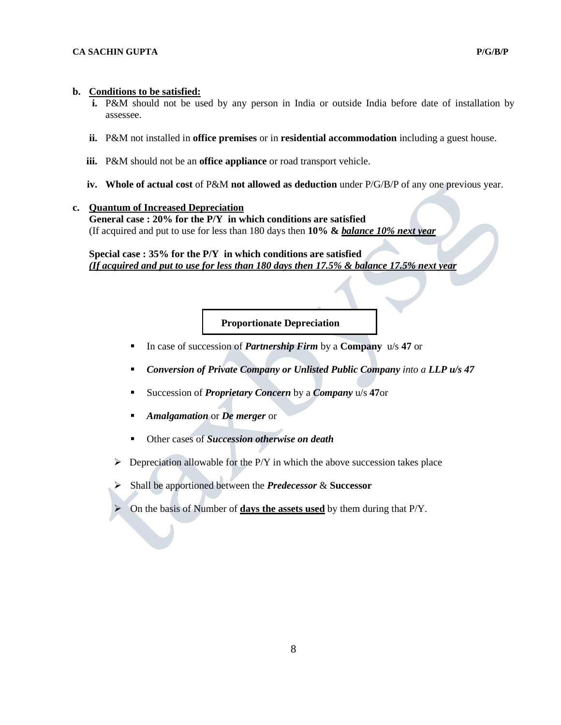# **b. Conditions to be satisfied:**

- **i.** P&M should not be used by any person in India or outside India before date of installation by assessee.
- **ii.** P&M not installed in **office premises** or in **residential accommodation** including a guest house.
- **iii.** P&M should not be an **office appliance** or road transport vehicle.
- **iv. Whole of actual cost** of P&M **not allowed as deduction** under P/G/B/P of any one previous year.

#### **c. Quantum of Increased Depreciation**

**General case : 20% for the P/Y in which conditions are satisfied** (If acquired and put to use for less than 180 days then **10% &** *balance 10% next year* 

**Special case : 35% for the P/Y in which conditions are satisfied** *(If acquired and put to use for less than 180 days then 17.5% & balance 17.5% next year* 

## **Proportionate Depreciation**

- In case of succession of *Partnership Firm* by a **Company** u/s **47** or
- *Conversion of Private Company or Unlisted Public Company into a LLP u/s 47*
- Succession of *Proprietary Concern* by a *Company* u/s **47**or
- *Amalgamation* or *De merger* or
- Other cases of *Succession otherwise on death*
- $\triangleright$  Depreciation allowable for the P/Y in which the above succession takes place
- ➢ Shall be apportioned between the *Predecessor* & **Successor**
- ➢ On the basis of Number of **days the assets used** by them during that P/Y.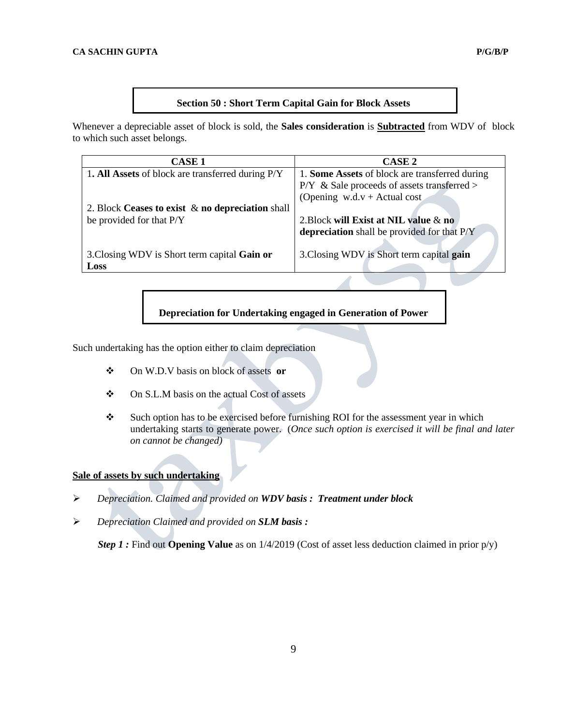# **Section 50 : Short Term Capital Gain for Block Assets**

Whenever a depreciable asset of block is sold, the **Sales consideration** is **Subtracted** from WDV of block to which such asset belongs.

| <b>CASE 1</b>                                       | <b>CASE 2</b>                                  |
|-----------------------------------------------------|------------------------------------------------|
| 1. All Assets of block are transferred during P/Y   | 1. Some Assets of block are transferred during |
|                                                     | $P/Y \&$ Sale proceeds of assets transferred > |
|                                                     | (Opening $w.d.v + Actual cost$ )               |
| 2. Block Ceases to exist $\&$ no depreciation shall |                                                |
| be provided for that P/Y                            | 2. Block will Exist at NIL value $\&$ no       |
|                                                     | depreciation shall be provided for that P/Y    |
|                                                     |                                                |
| 3. Closing WDV is Short term capital Gain or        | 3. Closing WDV is Short term capital gain      |
| Loss                                                |                                                |

**Depreciation for Undertaking engaged in Generation of Power**

Such undertaking has the option either to claim depreciation

- ❖ On W.D.V basis on block of assets **or**
- ❖ On S.L.M basis on the actual Cost of assets
- ❖ Such option has to be exercised before furnishing ROI for the assessment year in which undertaking starts to generate power. (*Once such option is exercised it will be final and later on cannot be changed)*

# **Sale of assets by such undertaking**

- ➢ *Depreciation. Claimed and provided on WDV basis : Treatment under block*
- ➢ *Depreciation Claimed and provided on SLM basis :*

 *Step 1 :* Find out **Opening Value** as on 1/4/2019 (Cost of asset less deduction claimed in prior p/y)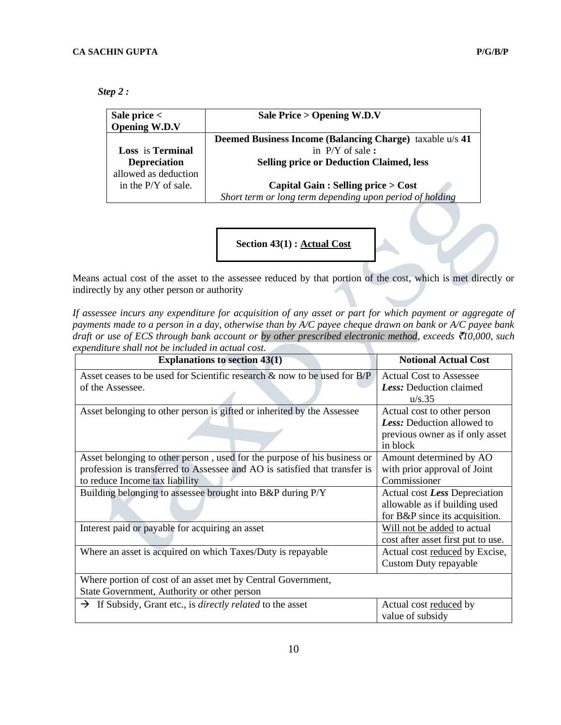| Step 2: |  |
|---------|--|
|---------|--|

| Sale price $<$<br><b>Opening W.D.V</b> | Sale Price $>$ Opening W.D.V                                    |
|----------------------------------------|-----------------------------------------------------------------|
|                                        | <b>Deemed Business Income (Balancing Charge)</b> taxable u/s 41 |
| <b>Loss</b> is <b>Terminal</b>         | in $P/Y$ of sale :                                              |
| <b>Depreciation</b>                    | <b>Selling price or Deduction Claimed, less</b>                 |
| allowed as deduction                   |                                                                 |
| in the $P/Y$ of sale.                  | Capital Gain : Selling price $>$ Cost                           |
|                                        | Short term or long term depending upon period of holding        |

**Section 43(1) : Actual Cost**

Means actual cost of the asset to the assessee reduced by that portion of the cost, which is met directly or indirectly by any other person or authority

*If assessee incurs any expenditure for acquisition of any asset or part for which payment or aggregate of payments made to a person in a day, otherwise than by A/C payee cheque drawn on bank or A/C payee bank draft or use of ECS through bank account or by other prescribed electronic method, exceeds* `*10,000, such expenditure shall not be included in actual cost.*  **The Contract** 

| <b>Explanations to section 43(1)</b>                                          | <b>Notional Actual Cost</b>        |  |
|-------------------------------------------------------------------------------|------------------------------------|--|
| Asset ceases to be used for Scientific research & now to be used for B/P      | <b>Actual Cost to Assessee</b>     |  |
| of the Assessee.                                                              | Less: Deduction claimed            |  |
|                                                                               | u/s.35                             |  |
| Asset belonging to other person is gifted or inherited by the Assessee        | Actual cost to other person        |  |
|                                                                               | Less: Deduction allowed to         |  |
|                                                                               | previous owner as if only asset    |  |
|                                                                               | in block                           |  |
| Asset belonging to other person, used for the purpose of his business or      | Amount determined by AO            |  |
| profession is transferred to Assessee and AO is satisfied that transfer is    | with prior approval of Joint       |  |
| to reduce Income tax liability                                                | Commissioner                       |  |
| Building belonging to assessee brought into B&P during P/Y                    | Actual cost Less Depreciation      |  |
|                                                                               | allowable as if building used      |  |
|                                                                               | for B&P since its acquisition.     |  |
| Interest paid or payable for acquiring an asset                               | Will not be added to actual        |  |
|                                                                               | cost after asset first put to use. |  |
| Where an asset is acquired on which Taxes/Duty is repayable                   | Actual cost reduced by Excise,     |  |
|                                                                               | Custom Duty repayable              |  |
| Where portion of cost of an asset met by Central Government,                  |                                    |  |
| State Government, Authority or other person                                   |                                    |  |
| $\rightarrow$ If Subsidy, Grant etc., is <i>directly related</i> to the asset | Actual cost reduced by             |  |
|                                                                               | value of subsidy                   |  |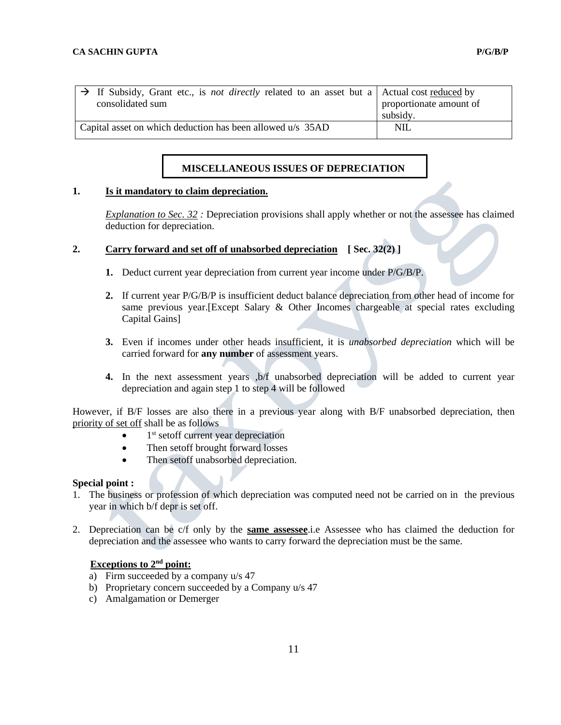| $\Rightarrow$ If Subsidy, Grant etc., is <i>not directly</i> related to an asset but a Actual cost reduced by<br>consolidated sum | proportionate amount of<br>subsidy. |
|-----------------------------------------------------------------------------------------------------------------------------------|-------------------------------------|
| Capital asset on which deduction has been allowed u/s 35AD                                                                        | <b>NIL</b>                          |

# **MISCELLANEOUS ISSUES OF DEPRECIATION**

# **1. Is it mandatory to claim depreciation.**

*Explanation to Sec. 32 :* Depreciation provisions shall apply whether or not the assessee has claimed deduction for depreciation.

# **2. Carry forward and set off of unabsorbed depreciation [ Sec. 32(2) ]**

- **1.** Deduct current year depreciation from current year income under P/G/B/P.
- **2.** If current year P/G/B/P is insufficient deduct balance depreciation from other head of income for same previous year.[Except Salary & Other Incomes chargeable at special rates excluding Capital Gains]
- **3.** Even if incomes under other heads insufficient, it is *unabsorbed depreciation* which will be carried forward for **any number** of assessment years.
- **4.** In the next assessment years ,b/f unabsorbed depreciation will be added to current year depreciation and again step 1 to step 4 will be followed

However, if B/F losses are also there in a previous year along with B/F unabsorbed depreciation, then priority of set off shall be as follows

- $\bullet$  1<sup>st</sup> setoff current year depreciation
- Then setoff brought forward losses
- Then setoff unabsorbed depreciation.

#### **Special point :**

- 1. The business or profession of which depreciation was computed need not be carried on in the previous year in which b/f depr is set off.
- 2. Depreciation can be c/f only by the **same assessee**.i.e Assessee who has claimed the deduction for depreciation and the assessee who wants to carry forward the depreciation must be the same.

# **Exceptions to 2nd point:**

- a) Firm succeeded by a company  $u/s$  47
- b) Proprietary concern succeeded by a Company u/s 47
- c) Amalgamation or Demerger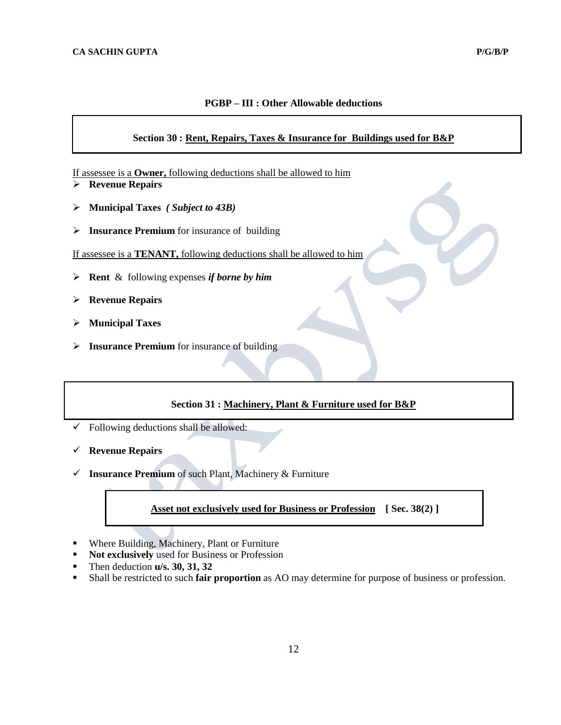# **PGBP – III : Other Allowable deductions**

# **Section 30 : Rent, Repairs, Taxes & Insurance for Buildings used for B&P**

If assessee is a **Owner,** following deductions shall be allowed to him

- ➢ **Revenue Repairs**
- ➢ **Municipal Taxes** *( Subject to 43B)*
- ➢ **Insurance Premium** for insurance of building
- If assessee is a **TENANT,** following deductions shall be allowed to him
- ➢ **Rent** & following expenses *if borne by him*
- ➢ **Revenue Repairs**
- ➢ **Municipal Taxes**
- ➢ **Insurance Premium** for insurance of building

# **Section 31 : Machinery, Plant & Furniture used for B&P**

- $\checkmark$  Following deductions shall be allowed:
- ✓ **Revenue Repairs**
- ✓ **Insurance Premium** of such Plant, Machinery & Furniture

# **Asset not exclusively used for Business or Profession [ Sec. 38(2) ]**

- Where Building, Machinery, Plant or Furniture
- **Not exclusively** used for Business or Profession
- Then deduction **u/s. 30, 31, 32**
- Shall be restricted to such **fair proportion** as AO may determine for purpose of business or profession.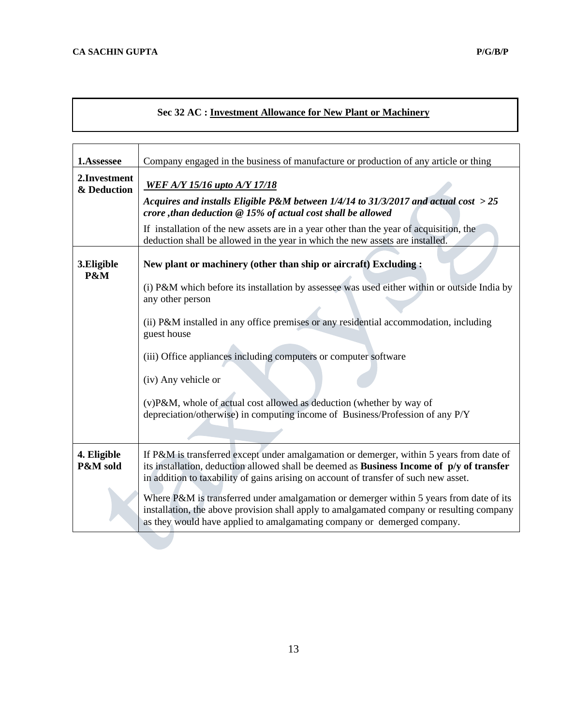# **Sec 32 AC : Investment Allowance for New Plant or Machinery**

| 1.Assessee                   | Company engaged in the business of manufacture or production of any article or thing                                                                                                                                                                                                                                                                                                                                                                                                                                                             |  |
|------------------------------|--------------------------------------------------------------------------------------------------------------------------------------------------------------------------------------------------------------------------------------------------------------------------------------------------------------------------------------------------------------------------------------------------------------------------------------------------------------------------------------------------------------------------------------------------|--|
| 2. Investment<br>& Deduction | <b>WEF A/Y 15/16 upto A/Y 17/18</b><br>Acquires and installs Eligible P&M between $1/4/14$ to 31/3/2017 and actual cost $>25$<br>crore , than deduction $@15%$ of actual cost shall be allowed                                                                                                                                                                                                                                                                                                                                                   |  |
|                              | If installation of the new assets are in a year other than the year of acquisition, the<br>deduction shall be allowed in the year in which the new assets are installed.                                                                                                                                                                                                                                                                                                                                                                         |  |
| 3. Eligible<br>P&M           | New plant or machinery (other than ship or aircraft) Excluding:<br>(i) P&M which before its installation by assessee was used either within or outside India by<br>any other person<br>(ii) P&M installed in any office premises or any residential accommodation, including<br>guest house<br>(iii) Office appliances including computers or computer software<br>(iv) Any vehicle or<br>(v)P&M, whole of actual cost allowed as deduction (whether by way of<br>depreciation/otherwise) in computing income of Business/Profession of any P/Y  |  |
| 4. Eligible<br>P&M sold      | If P&M is transferred except under amalgamation or demerger, within 5 years from date of<br>its installation, deduction allowed shall be deemed as Business Income of p/y of transfer<br>in addition to taxability of gains arising on account of transfer of such new asset.<br>Where P&M is transferred under amalgamation or demerger within 5 years from date of its<br>installation, the above provision shall apply to amalgamated company or resulting company<br>as they would have applied to amalgamating company or demerged company. |  |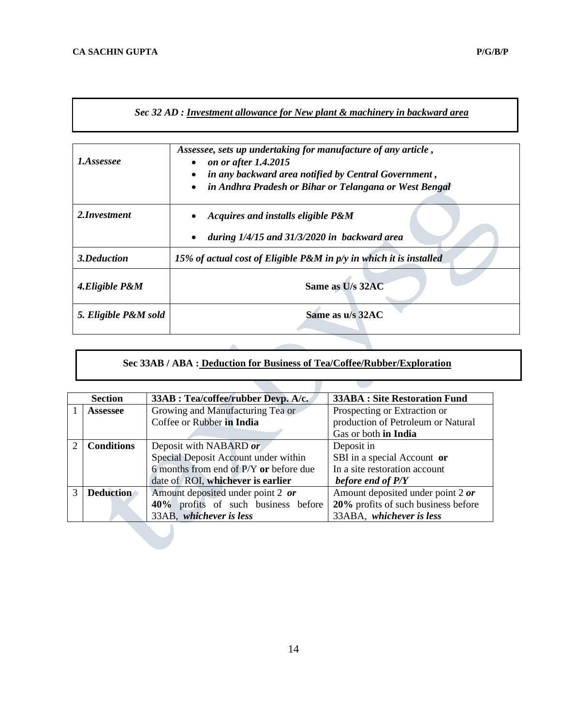| Sec 32 AD : Investment allowance for New plant & machinery in backward area |
|-----------------------------------------------------------------------------|
|-----------------------------------------------------------------------------|

| 1.Assessee           | Assessee, sets up undertaking for manufacture of any article,<br>on or after 1.4.2015<br>$\bullet$<br>in any backward area notified by Central Government,<br>$\bullet$<br>in Andhra Pradesh or Bihar or Telangana or West Bengal<br>$\bullet$ |  |
|----------------------|------------------------------------------------------------------------------------------------------------------------------------------------------------------------------------------------------------------------------------------------|--|
| 2. Investment        | Acquires and installs eligible P&M<br>during $1/4/15$ and $31/3/2020$ in backward area<br>$\bullet$                                                                                                                                            |  |
| 3.Deduction          | 15% of actual cost of Eligible P&M in p/y in which it is installed                                                                                                                                                                             |  |
| 4. Eligible P&M      | Same as U/s 32AC                                                                                                                                                                                                                               |  |
| 5. Eligible P&M sold | Same as u/s 32AC                                                                                                                                                                                                                               |  |

# **Sec 33AB / ABA : Deduction for Business of Tea/Coffee/Rubber/Exploration**

|   | <b>Section</b>    | 33AB : Tea/coffee/rubber Devp. A/c.    | <b>33ABA : Site Restoration Fund</b> |
|---|-------------------|----------------------------------------|--------------------------------------|
|   | <b>Assessee</b>   | Growing and Manufacturing Tea or       | Prospecting or Extraction or         |
|   |                   | Coffee or Rubber in India              | production of Petroleum or Natural   |
|   |                   |                                        | Gas or both in India                 |
| 2 | <b>Conditions</b> | Deposit with NABARD or                 | Deposit in                           |
|   |                   | Special Deposit Account under within   | SBI in a special Account or          |
|   |                   | 6 months from end of P/Y or before due | In a site restoration account        |
|   |                   | date of ROI, whichever is earlier      | before end of P/Y                    |
| 3 | <b>Deduction</b>  | Amount deposited under point 2 or      | Amount deposited under point 2 or    |
|   |                   | 40% profits of such business before    | 20% profits of such business before  |
|   |                   | 33AB, whichever is less                | 33ABA, whichever is less             |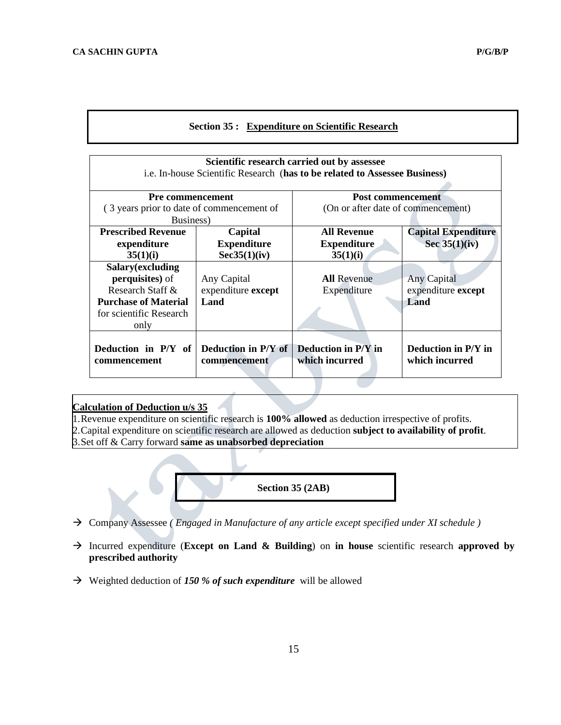# **Section 35 : Expenditure on Scientific Research**

| Scientific research carried out by assessee<br>i.e. In-house Scientific Research (has to be related to Assessee Business)         |                                           |                                                                |                                               |  |
|-----------------------------------------------------------------------------------------------------------------------------------|-------------------------------------------|----------------------------------------------------------------|-----------------------------------------------|--|
| <b>Pre commencement</b><br>(3 years prior to date of commencement of<br>Business)                                                 |                                           | <b>Post commencement</b><br>(On or after date of commencement) |                                               |  |
| <b>Prescribed Revenue</b><br>Capital<br><b>Expenditure</b><br>expenditure<br>Sec35(1)(iv)<br>35(1)(i)                             |                                           | <b>All Revenue</b><br><b>Expenditure</b><br>35(1)(i)           | <b>Capital Expenditure</b><br>Sec $35(1)(iv)$ |  |
| Salary(excluding<br><b>perquisites</b> ) of<br>Research Staff &<br><b>Purchase of Material</b><br>for scientific Research<br>only | Any Capital<br>expenditure except<br>Land | <b>All Revenue</b><br>Expenditure                              | Any Capital<br>expenditure except<br>Land     |  |
| Deduction in P/Y of<br>commencement                                                                                               | Deduction in P/Y of<br>commencement       | <b>Deduction in P/Y in</b><br>which incurred                   | Deduction in P/Y in<br>which incurred         |  |

# **Calculation of Deduction u/s 35**

1.Revenue expenditure on scientific research is **100% allowed** as deduction irrespective of profits. 2.Capital expenditure on scientific research are allowed as deduction **subject to availability of profit**. 3.Set off & Carry forward **same as unabsorbed depreciation**



- → Company Assessee *( Engaged in Manufacture of any article except specified under XI schedule )*
- → Incurred expenditure (**Except on Land & Building**) on **in house** scientific research **approved by prescribed authority**
- → Weighted deduction of *150 % of such expenditure* will be allowed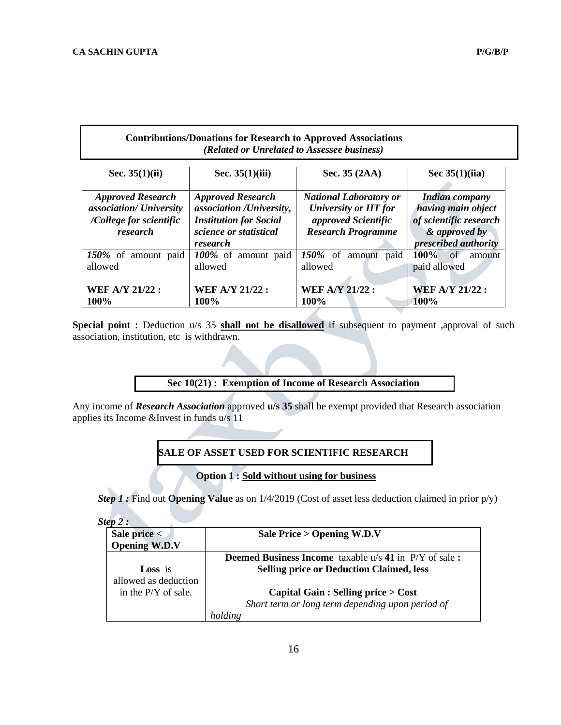# **Contributions/Donations for Research to Approved Associations** *(Related or Unrelated to Assessee business)*

| Sec. $35(1)(ii)$         | Sec. $35(1)(iii)$             | Sec. 35 (2AA)                                          | Sec $35(1)(iia)$              |  |
|--------------------------|-------------------------------|--------------------------------------------------------|-------------------------------|--|
| <b>Approved Research</b> | <b>Approved Research</b>      | <b>National Laboratory or</b><br><b>Indian company</b> |                               |  |
| association/ University  | association /University,      | <b>University or IIT for</b>                           | having main object            |  |
| /College for scientific  | <b>Institution for Social</b> | approved Scientific                                    | of scientific research        |  |
| research                 | science or statistical        | <b>Research Programme</b>                              | & approved by                 |  |
|                          | research                      |                                                        | <i>prescribed authority</i>   |  |
| 150% of amount paid      | 100% of amount paid           | $150\%$ of<br>paid<br>amount                           | $100\%$<br>$\sigma$<br>amount |  |
| allowed                  | allowed                       | allowed                                                | paid allowed                  |  |
|                          |                               |                                                        |                               |  |
| <b>WEF A/Y 21/22:</b>    | <b>WEF A/Y 21/22:</b>         | <b>WEF A/Y 21/22:</b>                                  | <b>WEF A/Y 21/22:</b>         |  |
| 100%                     | 100%                          | 100%                                                   | 100%                          |  |

**Special point :** Deduction u/s 35 **shall not be disallowed** if subsequent to payment ,approval of such association, institution, etc is withdrawn.

# **Sec 10(21) : Exemption of Income of Research Association**

Any income of *Research Association* approved **u/s 35** shall be exempt provided that Research association applies its Income &Invest in funds u/s 11

# **SALE OF ASSET USED FOR SCIENTIFIC RESEARCH**

## **Option 1 : Sold without using for business**

 *Step 1 :* Find out **Opening Value** as on 1/4/2019 (Cost of asset less deduction claimed in prior p/y)

| Sale price <          | Sale Price > Opening W.D.V                                   |  |  |  |
|-----------------------|--------------------------------------------------------------|--|--|--|
| <b>Opening W.D.V</b>  |                                                              |  |  |  |
|                       | <b>Deemed Business Income</b> taxable u/s 41 in P/Y of sale: |  |  |  |
| Loss is               | <b>Selling price or Deduction Claimed, less</b>              |  |  |  |
| allowed as deduction  |                                                              |  |  |  |
| in the $P/Y$ of sale. | Capital Gain : Selling price $>$ Cost                        |  |  |  |
|                       | Short term or long term depending upon period of             |  |  |  |
|                       | holding                                                      |  |  |  |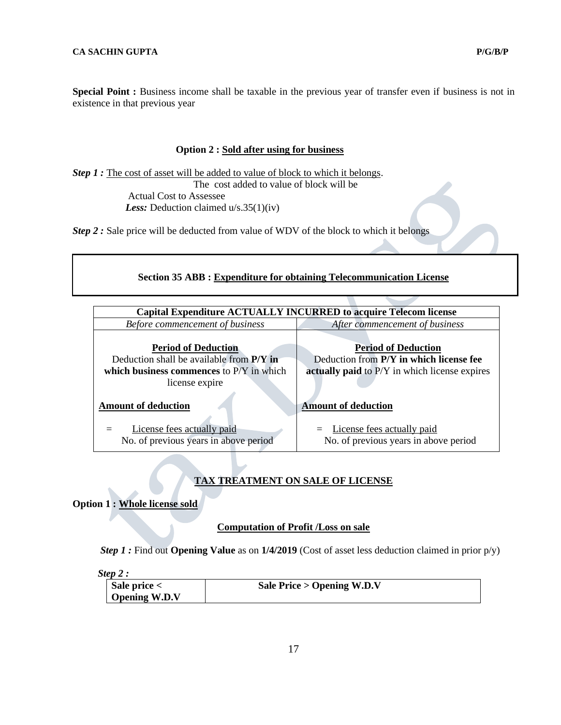**Special Point :** Business income shall be taxable in the previous year of transfer even if business is not in existence in that previous year

#### **Option 2 : Sold after using for business**

*Step 1* : The cost of asset will be added to value of block to which it belongs. The cost added to value of block will be Actual Cost to Assessee  *Less:* Deduction claimed u/s.35(1)(iv)

*Step 2 :* Sale price will be deducted from value of WDV of the block to which it belongs

| <b>Section 35 ABB: Expenditure for obtaining Telecommunication License</b> |  |
|----------------------------------------------------------------------------|--|
|----------------------------------------------------------------------------|--|

|                                                                          | <b>Capital Expenditure ACTUALLY INCURRED to acquire Telecom license</b> |
|--------------------------------------------------------------------------|-------------------------------------------------------------------------|
| Before commencement of business                                          | After commencement of business                                          |
| <b>Period of Deduction</b><br>Deduction shall be available from $P/Y$ in | <b>Period of Deduction</b><br>Deduction from P/Y in which license fee   |
| which business commences to $P/Y$ in which                               | actually paid to P/Y in which license expires                           |
| license expire                                                           |                                                                         |
| <b>Amount of deduction</b>                                               | <b>Amount of deduction</b>                                              |
| License fees actually paid<br>No. of previous years in above period      | License fees actually paid<br>No. of previous years in above period     |

# **TAX TREATMENT ON SALE OF LICENSE**

**Option 1 : Whole license sold**

## **Computation of Profit /Loss on sale**

 *Step 1 :* Find out **Opening Value** as on **1/4/2019** (Cost of asset less deduction claimed in prior p/y)

*Step 2 :* 

| $\blacksquare$ Sale price $\lt$ | Sale Price $>$ Opening W.D.V |
|---------------------------------|------------------------------|
| <b>Opening W.D.V</b>            |                              |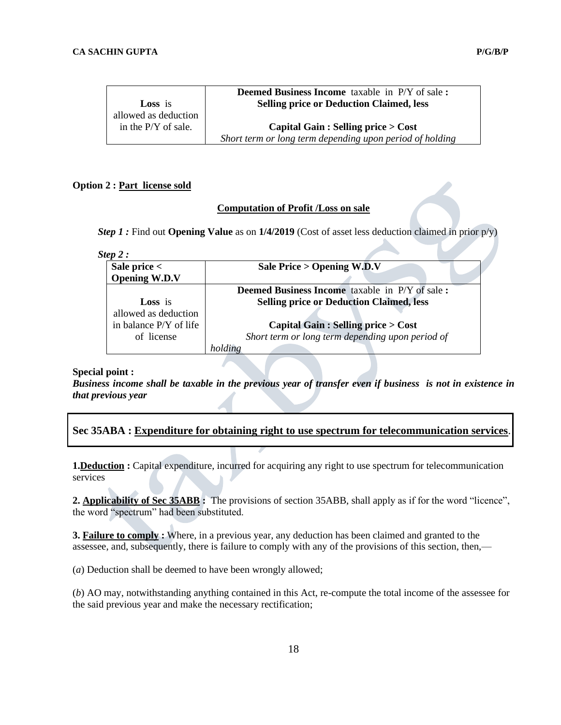|                       | <b>Deemed Business Income</b> taxable in P/Y of sale:    |
|-----------------------|----------------------------------------------------------|
| <b>Loss</b> is        | <b>Selling price or Deduction Claimed, less</b>          |
| allowed as deduction  |                                                          |
| in the $P/Y$ of sale. | Capital Gain : Selling price $>$ Cost                    |
|                       | Short term or long term depending upon period of holding |

#### **Option 2 : Part license sold**

# **Computation of Profit /Loss on sale**

*Step 1 :* Find out **Opening Value** as on **1/4/2019** (Cost of asset less deduction claimed in prior p/y)

*Step 2 :* 

| Sale price $<$         | Sale Price > Opening W.D.V                            |
|------------------------|-------------------------------------------------------|
| <b>Opening W.D.V</b>   |                                                       |
|                        | <b>Deemed Business Income</b> taxable in P/Y of sale: |
| <b>Loss</b> is         | <b>Selling price or Deduction Claimed, less</b>       |
| allowed as deduction   |                                                       |
| in balance P/Y of life | <b>Capital Gain: Selling price &gt; Cost</b>          |
| of license             | Short term or long term depending upon period of      |
|                        | holding                                               |

#### **Special point :**

*Business income shall be taxable in the previous year of transfer even if business is not in existence in that previous year*

|  | Sec 35ABA : Expenditure for obtaining right to use spectrum for telecommunication services. |  |  |  |
|--|---------------------------------------------------------------------------------------------|--|--|--|
|  |                                                                                             |  |  |  |

**1.Deduction :** Capital expenditure, incurred for acquiring any right to use spectrum for telecommunication services

**2. Applicability of Sec 35ABB :** The provisions of section 35ABB, shall apply as if for the word "licence", the word "spectrum" had been substituted.

**3. Failure to comply :** Where, in a previous year, any deduction has been claimed and granted to the assessee, and, subsequently, there is failure to comply with any of the provisions of this section, then,—

(*a*) Deduction shall be deemed to have been wrongly allowed;

(*b*) AO may, notwithstanding anything contained in this Act, re-compute the total income of the assessee for the said previous year and make the necessary rectification;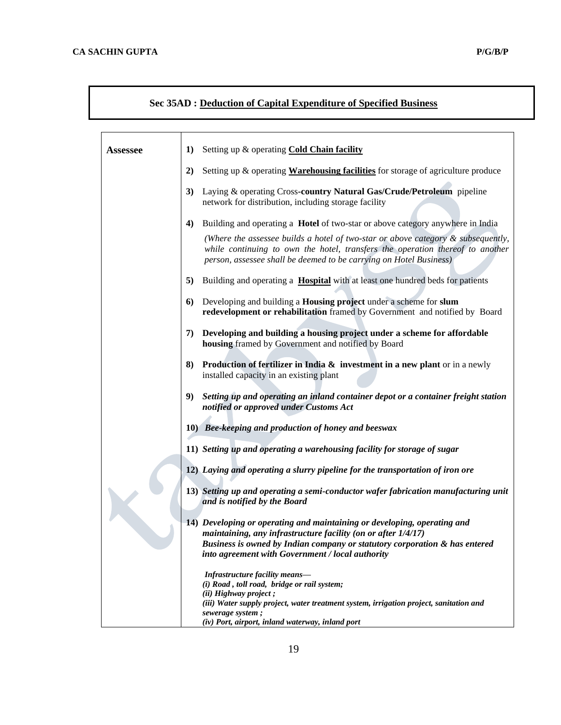# **Sec 35AD : Deduction of Capital Expenditure of Specified Business**

| <b>Assessee</b> | Setting up & operating Cold Chain facility<br>1)                                                                                                                                                                                           |
|-----------------|--------------------------------------------------------------------------------------------------------------------------------------------------------------------------------------------------------------------------------------------|
|                 | 2)<br>Setting up & operating <b>Warehousing facilities</b> for storage of agriculture produce                                                                                                                                              |
|                 |                                                                                                                                                                                                                                            |
|                 | 3)<br>Laying & operating Cross-country Natural Gas/Crude/Petroleum pipeline<br>network for distribution, including storage facility                                                                                                        |
|                 | Building and operating a Hotel of two-star or above category anywhere in India<br>4)                                                                                                                                                       |
|                 | (Where the assessee builds a hotel of two-star or above category $\&$ subsequently,<br>while continuing to own the hotel, transfers the operation thereof to another<br>person, assessee shall be deemed to be carrying on Hotel Business) |
|                 | 5)<br>Building and operating a <b>Hospital</b> with at least one hundred beds for patients                                                                                                                                                 |
|                 | Developing and building a Housing project under a scheme for slum<br>6)<br>redevelopment or rehabilitation framed by Government and notified by Board                                                                                      |
|                 | Developing and building a housing project under a scheme for affordable<br>7)<br>housing framed by Government and notified by Board                                                                                                        |
|                 | <b>Production of fertilizer in India &amp; investment in a new plant</b> or in a newly<br>8)<br>installed capacity in an existing plant                                                                                                    |
|                 | 9)<br>Setting up and operating an inland container depot or a container freight station<br>notified or approved under Customs Act                                                                                                          |
|                 | 10) Bee-keeping and production of honey and beeswax                                                                                                                                                                                        |
|                 | 11) Setting up and operating a warehousing facility for storage of sugar                                                                                                                                                                   |
|                 | 12) Laying and operating a slurry pipeline for the transportation of iron ore                                                                                                                                                              |
|                 | 13) Setting up and operating a semi-conductor wafer fabrication manufacturing unit<br>and is notified by the Board                                                                                                                         |
|                 | 14) Developing or operating and maintaining or developing, operating and<br>maintaining, any infrastructure facility (on or after 1/4/17)                                                                                                  |
|                 | Business is owned by Indian company or statutory corporation & has entered                                                                                                                                                                 |
|                 | into agreement with Government / local authority                                                                                                                                                                                           |
|                 | Infrastructure facility means-<br>(i) Road, toll road, bridge or rail system;                                                                                                                                                              |
|                 | (ii) Highway project;                                                                                                                                                                                                                      |
|                 | (iii) Water supply project, water treatment system, irrigation project, sanitation and<br>sewerage system;                                                                                                                                 |
|                 | (iv) Port, airport, inland waterway, inland port                                                                                                                                                                                           |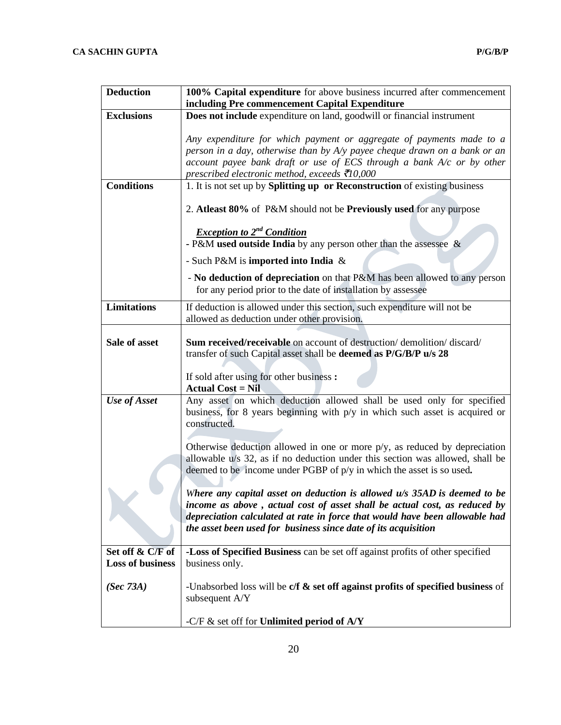| <b>Deduction</b>        | 100% Capital expenditure for above business incurred after commencement                                                                                                                                                                                                                                  |
|-------------------------|----------------------------------------------------------------------------------------------------------------------------------------------------------------------------------------------------------------------------------------------------------------------------------------------------------|
| <b>Exclusions</b>       | including Pre commencement Capital Expenditure<br>Does not include expenditure on land, goodwill or financial instrument                                                                                                                                                                                 |
|                         |                                                                                                                                                                                                                                                                                                          |
|                         | Any expenditure for which payment or aggregate of payments made to a                                                                                                                                                                                                                                     |
|                         | person in a day, otherwise than by A/y payee cheque drawn on a bank or an                                                                                                                                                                                                                                |
|                         | account payee bank draft or use of ECS through a bank $A/c$ or by other                                                                                                                                                                                                                                  |
|                         | prescribed electronic method, exceeds $\bar{\mathcal{E}}$ 10,000                                                                                                                                                                                                                                         |
| <b>Conditions</b>       | 1. It is not set up by Splitting up or Reconstruction of existing business                                                                                                                                                                                                                               |
|                         | 2. Atleast 80% of P&M should not be Previously used for any purpose                                                                                                                                                                                                                                      |
|                         | <b>Exception to 2<sup>nd</sup> Condition</b><br>- P&M used outside India by any person other than the assessee $\&$                                                                                                                                                                                      |
|                         | - Such P&M is imported into India &                                                                                                                                                                                                                                                                      |
|                         | - No deduction of depreciation on that P&M has been allowed to any person<br>for any period prior to the date of installation by assessee                                                                                                                                                                |
| <b>Limitations</b>      | If deduction is allowed under this section, such expenditure will not be                                                                                                                                                                                                                                 |
|                         | allowed as deduction under other provision.                                                                                                                                                                                                                                                              |
| Sale of asset           | <b>Sum received/receivable</b> on account of destruction/demolition/discard/<br>transfer of such Capital asset shall be deemed as P/G/B/P u/s 28                                                                                                                                                         |
|                         | If sold after using for other business :<br><b>Actual Cost = Nil</b>                                                                                                                                                                                                                                     |
| Use of Asset            | Any asset on which deduction allowed shall be used only for specified<br>business, for 8 years beginning with $p/y$ in which such asset is acquired or<br>constructed.                                                                                                                                   |
|                         | Otherwise deduction allowed in one or more p/y, as reduced by depreciation<br>allowable u/s 32, as if no deduction under this section was allowed, shall be<br>deemed to be income under PGBP of p/y in which the asset is so used.                                                                      |
|                         | Where any capital asset on deduction is allowed $u/s$ 35AD is deemed to be<br>income as above, actual cost of asset shall be actual cost, as reduced by<br>depreciation calculated at rate in force that would have been allowable had<br>the asset been used for business since date of its acquisition |
| Set off & C/F of        | -Loss of Specified Business can be set off against profits of other specified                                                                                                                                                                                                                            |
| <b>Loss of business</b> | business only.                                                                                                                                                                                                                                                                                           |
| (Sec 73A)               | -Unabsorbed loss will be $c/f$ & set off against profits of specified business of<br>subsequent A/Y                                                                                                                                                                                                      |
|                         | -C/F $\&$ set off for Unlimited period of A/Y                                                                                                                                                                                                                                                            |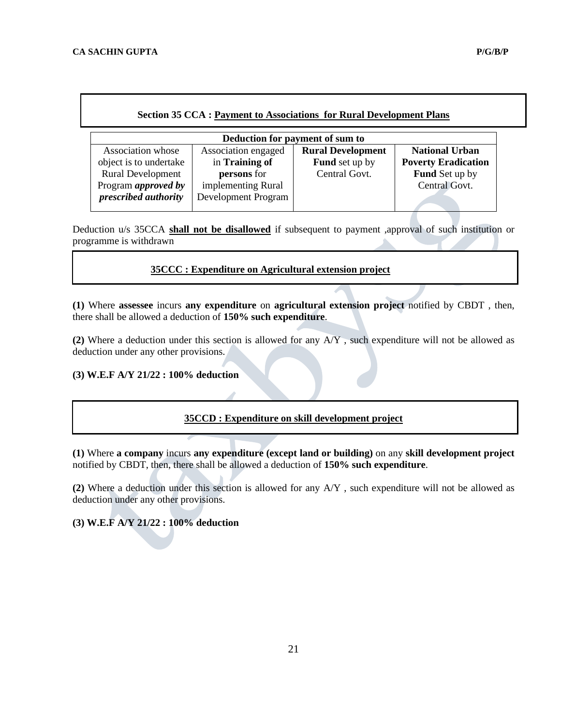| Deduction for payment of sum to |                     |                          |                            |  |
|---------------------------------|---------------------|--------------------------|----------------------------|--|
| Association whose               | Association engaged | <b>Rural Development</b> | <b>National Urban</b>      |  |
| object is to undertake          | in Training of      | <b>Fund</b> set up by    | <b>Poverty Eradication</b> |  |
| <b>Rural Development</b>        | persons for         | Central Govt.            | <b>Fund</b> Set up by      |  |
| Program <i>approved</i> by      | implementing Rural  |                          | Central Govt.              |  |
| prescribed authority            | Development Program |                          |                            |  |

Deduction u/s 35CCA **shall not be disallowed** if subsequent to payment ,approval of such institution or programme is withdrawn

# **35CCC : Expenditure on Agricultural extension project**

**(1)** Where **assessee** incurs **any expenditure** on **agricultural extension project** notified by CBDT , then, there shall be allowed a deduction of **150% such expenditure**.

**(2)** Where a deduction under this section is allowed for any A/Y , such expenditure will not be allowed as deduction under any other provisions.

## **(3) W.E.F A/Y 21/22 : 100% deduction**

# **35CCD : Expenditure on skill development project**

**(1)** Where **a company** incurs **any expenditure (except land or building)** on any **skill development project** notified by CBDT, then, there shall be allowed a deduction of **150% such expenditure**.

**(2)** Where a deduction under this section is allowed for any A/Y , such expenditure will not be allowed as deduction under any other provisions.

**(3) W.E.F A/Y 21/22 : 100% deduction**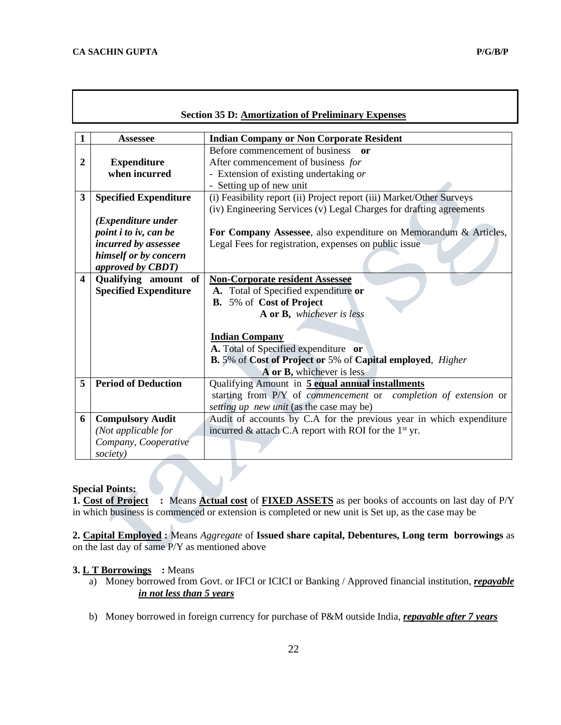| <b>Section 35 D: Amortization of Preliminary Expenses</b> |                                                                                                      |                                                                                                                                                                         |  |  |
|-----------------------------------------------------------|------------------------------------------------------------------------------------------------------|-------------------------------------------------------------------------------------------------------------------------------------------------------------------------|--|--|
| 1                                                         | <b>Assessee</b>                                                                                      | <b>Indian Company or Non Corporate Resident</b>                                                                                                                         |  |  |
| $\boldsymbol{2}$                                          | <b>Expenditure</b><br>when incurred                                                                  | Before commencement of business or<br>After commencement of business for<br>- Extension of existing undertaking or<br>- Setting up of new unit                          |  |  |
| 3                                                         | <b>Specified Expenditure</b>                                                                         | (i) Feasibility report (ii) Project report (iii) Market/Other Surveys<br>(iv) Engineering Services (v) Legal Charges for drafting agreements                            |  |  |
|                                                           | ( <i>Expenditure under</i><br>point i to iv, can be<br>incurred by assessee<br>himself or by concern | For Company Assessee, also expenditure on Memorandum & Articles,<br>Legal Fees for registration, expenses on public issue                                               |  |  |
| $\overline{\mathbf{4}}$                                   | approved by CBDT)<br>Qualifying amount of<br><b>Specified Expenditure</b>                            | <b>Non-Corporate resident Assessee</b><br>A. Total of Specified expenditure or<br><b>B.</b> 5% of Cost of Project<br>A or B, whichever is less<br><b>Indian Company</b> |  |  |
|                                                           |                                                                                                      | A. Total of Specified expenditure or<br><b>B.</b> 5% of Cost of Project or 5% of Capital employed, <i>Higher</i><br>A or B, whichever is less                           |  |  |
| 5                                                         | <b>Period of Deduction</b>                                                                           | Qualifying Amount in 5 equal annual installments<br>starting from P/Y of commencement or completion of extension or<br>setting up new unit (as the case may be)         |  |  |
| 6                                                         | <b>Compulsory Audit</b><br>(Not applicable for<br>Company, Cooperative<br>society)                   | Audit of accounts by C.A for the previous year in which expenditure<br>incurred & attach C.A report with ROI for the $1st$ yr.                                          |  |  |

# **Special Points:**

**1. Cost of Project :** Means **Actual cost** of **FIXED ASSETS** as per books of accounts on last day of P/Y in which business is commenced or extension is completed or new unit is Set up, as the case may be

 $\blacktriangleright$ 

**2. Capital Employed :** Means *Aggregate* of **Issued share capital, Debentures, Long term borrowings** as on the last day of same P/Y as mentioned above

# **3. L T Borrowings :** Means

- a) Money borrowed from Govt. or IFCI or ICICI or Banking / Approved financial institution, *repayable in not less than 5 years*
- b) Money borrowed in foreign currency for purchase of P&M outside India, *repayable after 7 years*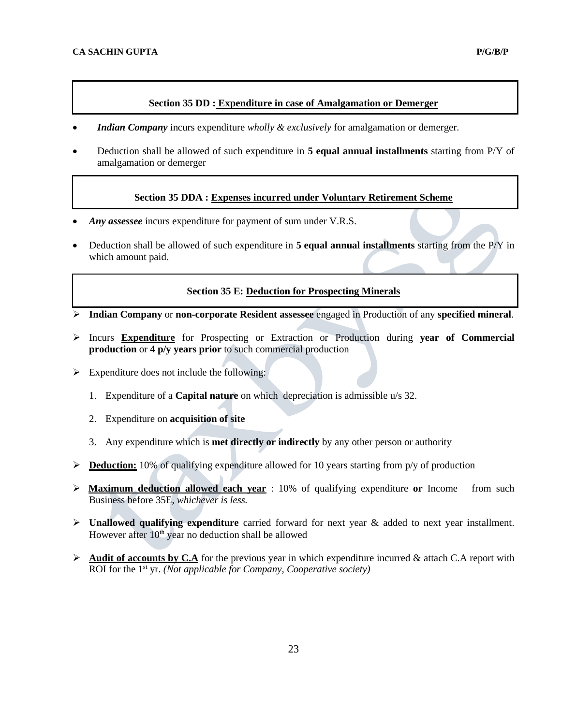# **Section 35 DD : Expenditure in case of Amalgamation or Demerger**

- *Indian Company* incurs expenditure *wholly & exclusively* for amalgamation or demerger.
- Deduction shall be allowed of such expenditure in **5 equal annual installments** starting from P/Y of amalgamation or demerger

# **Section 35 DDA : Expenses incurred under Voluntary Retirement Scheme**

- *Any assessee* incurs expenditure for payment of sum under V.R.S.
- Deduction shall be allowed of such expenditure in **5 equal annual installments** starting from the P/Y in which amount paid.

## **Section 35 E: Deduction for Prospecting Minerals**

- ➢ **Indian Company** or **non-corporate Resident assessee** engaged in Production of any **specified mineral**.
- ➢ Incurs **Expenditure** for Prospecting or Extraction or Production during **year of Commercial production** or **4 p/y years prior** to such commercial production
- $\triangleright$  Expenditure does not include the following:
	- 1. Expenditure of a **Capital nature** on which depreciation is admissible u/s 32.
	- 2. Expenditure on **acquisition of site**
	- 3. Any expenditure which is **met directly or indirectly** by any other person or authority
- ➢ **Deduction:** 10% of qualifying expenditure allowed for 10 years starting from p/y of production
- ➢ **Maximum deduction allowed each year** : 10% of qualifying expenditure **or** Income from such Business before 35E, *whichever is less.*
- ➢ **Unallowed qualifying expenditure** carried forward for next year & added to next year installment. However after  $10<sup>th</sup>$  year no deduction shall be allowed
- $\triangleright$  **Audit of accounts by C.A** for the previous year in which expenditure incurred & attach C.A report with ROI for the 1<sup>st</sup> yr. *(Not applicable for Company, Cooperative society)*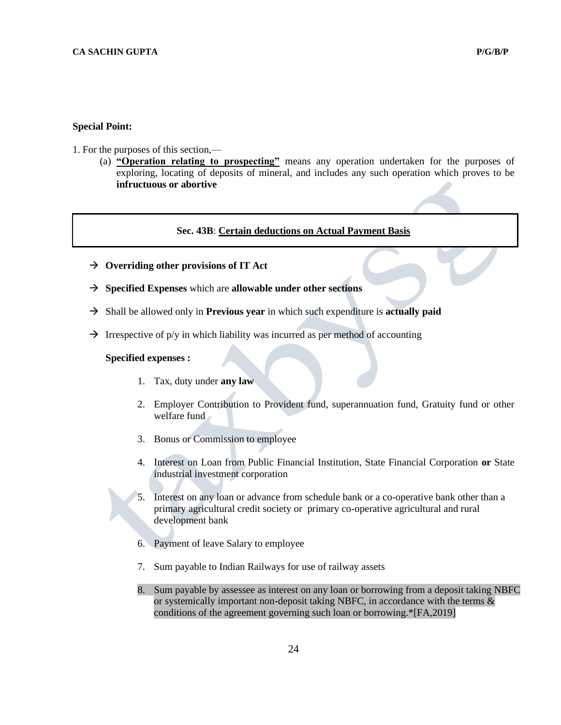# **Special Point:**

- 1. For the purposes of this section,—
	- (a) **"Operation relating to prospecting"** means any operation undertaken for the purposes of exploring, locating of deposits of mineral, and includes any such operation which proves to be **infructuous or abortive**

# **Sec. 43B**: **Certain deductions on Actual Payment Basis**

- → **Overriding other provisions of IT Act**
- → **Specified Expenses** which are **allowable under other sections**
- → Shall be allowed only in **Previous year** in which such expenditure is **actually paid**
- $\rightarrow$  Irrespective of p/y in which liability was incurred as per method of accounting

#### **Specified expenses :**

- 1. Tax, duty under **any law**
- 2. Employer Contribution to Provident fund, superannuation fund, Gratuity fund or other welfare fund
- 3. Bonus or Commission to employee
- 4. Interest on Loan from Public Financial Institution, State Financial Corporation **or** State industrial investment corporation
- 5. Interest on any loan or advance from schedule bank or a co-operative bank other than a primary agricultural credit society or primary co-operative agricultural and rural development bank
- 6. Payment of leave Salary to employee
- 7. Sum payable to Indian Railways for use of railway assets
- 8. Sum payable by assessee as interest on any loan or borrowing from a deposit taking NBFC or systemically important non-deposit taking NBFC, in accordance with the terms  $\&$ conditions of the agreement governing such loan or borrowing.\*[FA,2019]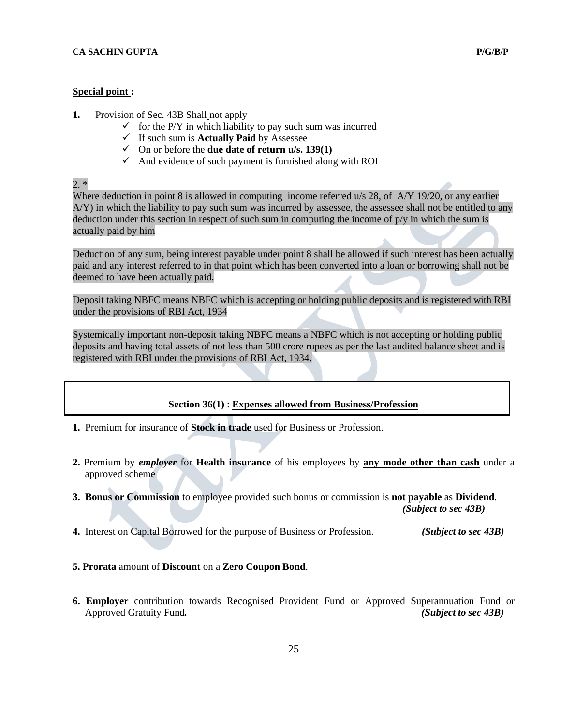#### **Special point :**

- **1.** Provision of Sec. 43B Shall not apply
	- $\checkmark$  for the P/Y in which liability to pay such sum was incurred
	- ✓ If such sum is **Actually Paid** by Assessee
	- ✓ On or before the **due date of return u/s. 139(1)**
	- $\checkmark$  And evidence of such payment is furnished along with ROI

 $2. *$ 

Where deduction in point 8 is allowed in computing income referred u/s 28, of A/Y 19/20, or any earlier A/Y) in which the liability to pay such sum was incurred by assessee, the assessee shall not be entitled to any deduction under this section in respect of such sum in computing the income of  $p/y$  in which the sum is actually paid by him

Deduction of any sum, being interest payable under point 8 shall be allowed if such interest has been actually paid and any interest referred to in that point which has been converted into a loan or borrowing shall not be deemed to have been actually paid.

Deposit taking NBFC means NBFC which is accepting or holding public deposits and is registered with RBI under the provisions of RBI Act, 1934

Systemically important non-deposit taking NBFC means a NBFC which is not accepting or holding public deposits and having total assets of not less than 500 crore rupees as per the last audited balance sheet and is registered with RBI under the provisions of RBI Act, 1934.

## **Section 36(1)** : **Expenses allowed from Business/Profession**

- **1.** Premium for insurance of **Stock in trade** used for Business or Profession.
- **2.** Premium by *employer* for **Health insurance** of his employees by **any mode other than cash** under a approved scheme
- **3. Bonus or Commission** to employee provided such bonus or commission is **not payable** as **Dividend**. *(Subject to sec 43B)*
- **4.** Interest on Capital Borrowed for the purpose of Business or Profession. *(Subject to sec 43B)*
- **5. Prorata** amount of **Discount** on a **Zero Coupon Bond**.
- **6. Employer** contribution towards Recognised Provident Fund or Approved Superannuation Fund or Approved Gratuity Fund*. (Subject to sec 43B)*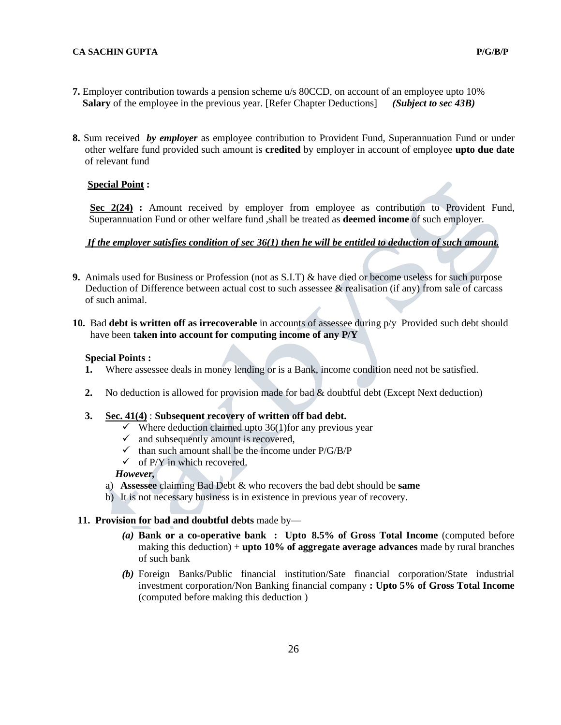- **7.** Employer contribution towards a pension scheme u/s 80CCD, on account of an employee upto 10%  **Salary** of the employee in the previous year. [Refer Chapter Deductions] *(Subject to sec 43B)*
- **8.** Sum received *by employer* as employee contribution to Provident Fund, Superannuation Fund or under other welfare fund provided such amount is **credited** by employer in account of employee **upto due date** of relevant fund

# **Special Point :**

**Sec 2(24) :** Amount received by employer from employee as contribution to Provident Fund, Superannuation Fund or other welfare fund ,shall be treated as **deemed income** of such employer.

# *If the employer satisfies condition of sec 36(1) then he will be entitled to deduction of such amount.*

- **9.** Animals used for Business or Profession (not as S.I.T) & have died or become useless for such purpose Deduction of Difference between actual cost to such assessee  $\&$  realisation (if any) from sale of carcass of such animal.
- **10.** Bad **debt is written off as irrecoverable** in accounts of assessee during p/y Provided such debt should have been **taken into account for computing income of any P/Y**

# **Special Points :**

- **1.** Where assessee deals in money lending or is a Bank, income condition need not be satisfied.
- **2.** No deduction is allowed for provision made for bad & doubtful debt (Except Next deduction)

## **3. Sec. 41(4)** : **Subsequent recovery of written off bad debt.**

- $\checkmark$  Where deduction claimed upto 36(1) for any previous year
- $\checkmark$  and subsequently amount is recovered,
- $\checkmark$  than such amount shall be the income under P/G/B/P
- $\checkmark$  of P/Y in which recovered.

# *However,*

- a) **Assessee** claiming Bad Debt & who recovers the bad debt should be **same**
- b) It is not necessary business is in existence in previous year of recovery.

## **11. Provision for bad and doubtful debts** made by—

- *(a)* **Bank or a co-operative bank : Upto 8.5% of Gross Total Income** (computed before making this deduction) + **upto 10% of aggregate average advances** made by rural branches of such bank
- *(b)* Foreign Banks/Public financial institution/Sate financial corporation/State industrial investment corporation/Non Banking financial company **: Upto 5% of Gross Total Income** (computed before making this deduction )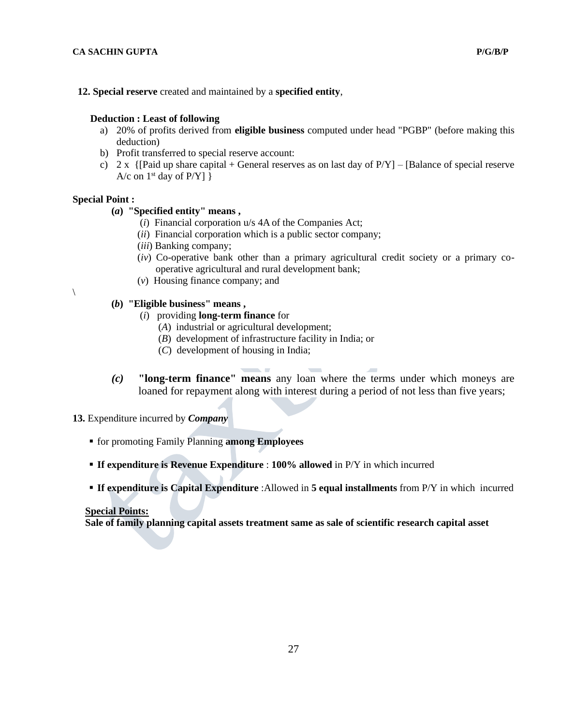**12. Special reserve** created and maintained by a **specified entity**,

#### **Deduction : Least of following**

- a) 20% of profits derived from **eligible business** computed under head "PGBP" (before making this deduction)
- b) Profit transferred to special reserve account:
- c)  $2 \times \{$ [Paid up share capital + General reserves as on last day of  $P/Y$ ] [Balance of special reserve A/c on  $1<sup>st</sup>$  day of P/Y] }

#### **Special Point :**

 $\setminus$ 

# **(***a***) "Specified entity" means ,**

- (*i*) Financial corporation u/s 4A of the Companies Act;
- (*ii*) Financial corporation which is a public sector company;
- (*iii*) Banking company;
- (*iv*) Co-operative bank other than a primary agricultural credit society or a primary cooperative agricultural and rural development bank;
- (*v*) Housing finance company; and

# **(***b***) "Eligible business" means ,**

- (*i*) providing **long-term finance** for
	- (*A*) industrial or agricultural development;
	- (*B*) development of infrastructure facility in India; or
	- (*C*) development of housing in India;
- *(c)* **"long-term finance" means** any loan where the terms under which moneys are loaned for repayment along with interest during a period of not less than five years;

## **13.** Expenditure incurred by *Company*

- for promoting Family Planning **among Employees**
- **If expenditure is Revenue Expenditure** : **100% allowed** in P/Y in which incurred
- **If expenditure is Capital Expenditure** :Allowed in **5 equal installments** from P/Y in which incurred

#### **Special Points:**

 **Sale of family planning capital assets treatment same as sale of scientific research capital asset**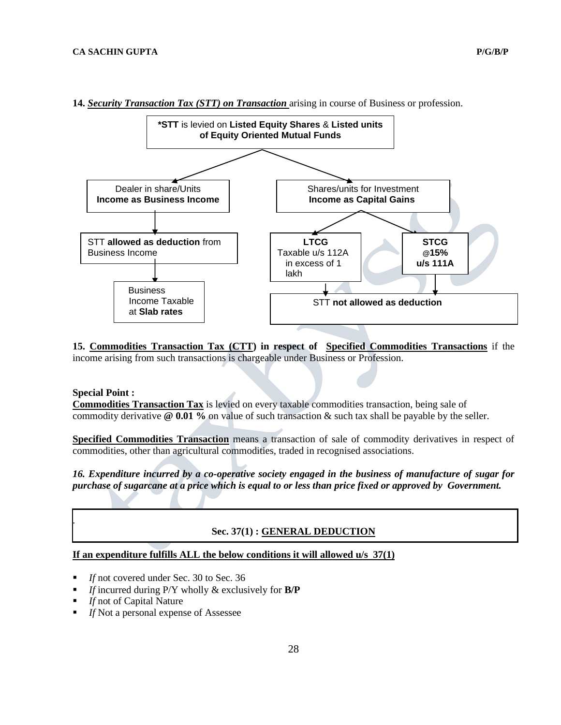

**14.** *Security Transaction Tax (STT) on Transaction* arising in course of Business or profession.

**15. Commodities Transaction Tax (CTT) in respect of Specified Commodities Transactions** if the income arising from such transactions is chargeable under Business or Profession.

#### **Special Point :**

.

**Commodities Transaction Tax** is levied on every taxable commodities transaction, being sale of commodity derivative **@ 0.01 %** on value of such transaction & such tax shall be payable by the seller.

**Specified Commodities Transaction** means a transaction of sale of commodity derivatives in respect of commodities, other than agricultural commodities, traded in recognised associations.

*16. Expenditure incurred by a co-operative society engaged in the business of manufacture of sugar for purchase of sugarcane at a price which is equal to or less than price fixed or approved by Government.* 

#### **Sec. 37(1) : GENERAL DEDUCTION**

#### **If an expenditure fulfills ALL the below conditions it will allowed u/s 37(1)**

- If not covered under Sec. 30 to Sec. 36
- *If* incurred during P/Y wholly & exclusively for **B/P**
- *If* not of Capital Nature
- **If** Not a personal expense of Assessee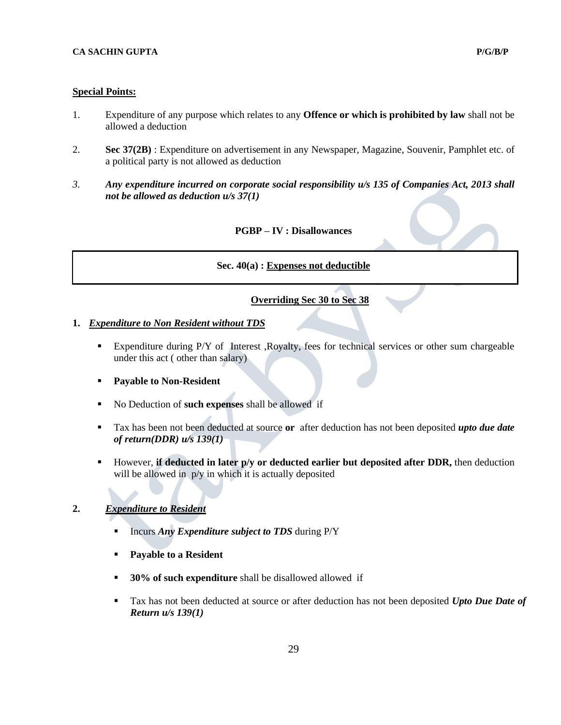#### **Special Points:**

٦

- 1. Expenditure of any purpose which relates to any **Offence or which is prohibited by law** shall not be allowed a deduction
- 2. **Sec 37(2B)** : Expenditure on advertisement in any Newspaper, Magazine, Souvenir, Pamphlet etc. of a political party is not allowed as deduction
- *3. Any expenditure incurred on corporate social responsibility u/s 135 of Companies Act, 2013 shall not be allowed as deduction u/s 37(1)*

#### **PGBP – IV : Disallowances**

#### **Sec. 40(a) : Expenses not deductible**

## **Overriding Sec 30 to Sec 38**

#### **1.** *Expenditure to Non Resident without TDS*

- Expenditure during P/Y of Interest ,Royalty, fees for technical services or other sum chargeable under this act ( other than salary)
- **Payable to Non-Resident**
- No Deduction of **such expenses** shall be allowed if
- Tax has been not been deducted at source **or** after deduction has not been deposited *upto due date of return(DDR) u/s 139(1)*
- However*,* **if deducted in later p/y or deducted earlier but deposited after DDR,** then deduction will be allowed in  $p/y$  in which it is actually deposited

# **2.** *Expenditure to Resident*

- Incurs *Any Expenditure subject to TDS* during P/Y
- **Payable to a Resident**
- **30% of such expenditure** shall be disallowed allowed if
- Tax has not been deducted at source or after deduction has not been deposited *Upto Due Date of Return u/s 139(1)*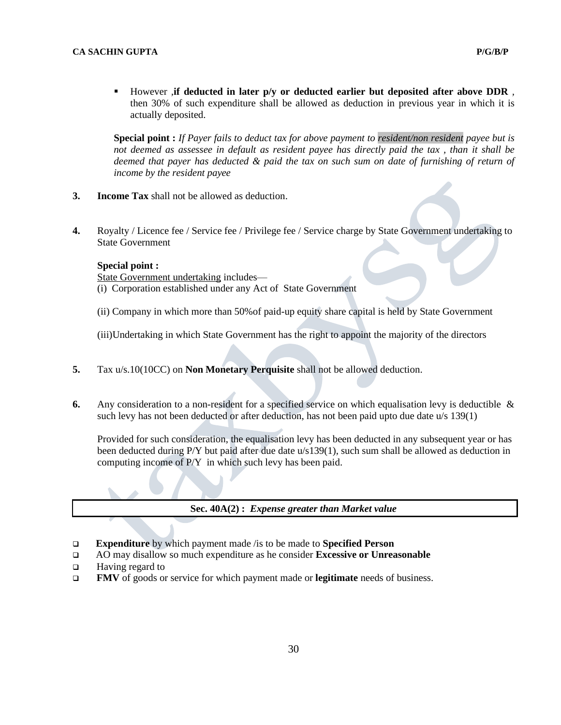▪ However *,***if deducted in later p/y or deducted earlier but deposited after above DDR** *,* then 30% of such expenditure shall be allowed as deduction in previous year in which it is actually deposited.

**Special point :** *If Payer fails to deduct tax for above payment to resident/non resident payee but is not deemed as assessee in default as resident payee has directly paid the tax , than it shall be deemed that payer has deducted & paid the tax on such sum on date of furnishing of return of income by the resident payee*

- **3. Income Tax** shall not be allowed as deduction.
- **4.** Royalty / Licence fee / Service fee / Privilege fee / Service charge by State Government undertaking to State Government

#### **Special point :**

State Government undertaking includes— (i) Corporation established under any Act of State Government

- 
- (ii) Company in which more than 50%of paid-up equity share capital is held by State Government

(iii)Undertaking in which State Government has the right to appoint the majority of the directors

- **5.** Tax u/s.10(10CC) on **Non Monetary Perquisite** shall not be allowed deduction.
- **6.** Any consideration to a non-resident for a specified service on which equalisation levy is deductible & such levy has not been deducted or after deduction, has not been paid upto due date u/s 139(1)

Provided for such consideration, the equalisation levy has been deducted in any subsequent year or has been deducted during P/Y but paid after due date u/s139(1), such sum shall be allowed as deduction in computing income of P/Y in which such levy has been paid.

#### **Sec. 40A(2) :** *Expense greater than Market value*

- ❑ **Expenditure** by which payment made /is to be made to **Specified Person**
- ❑ AO may disallow so much expenditure as he consider **Excessive or Unreasonable**
- ❑ Having regard to
- ❑ **FMV** of goods or service for which payment made or **legitimate** needs of business.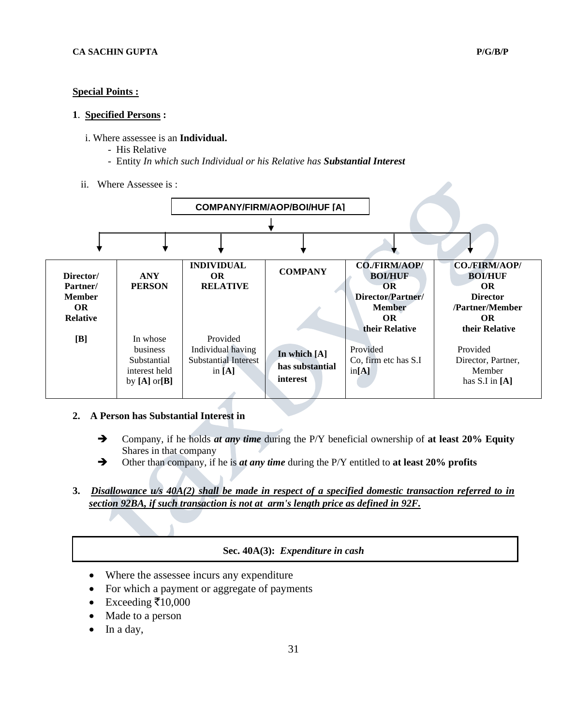#### **Special Points :**

#### **1**. **Specified Persons :**

- i. Where assessee is an **Individual.**
	- His Relative
	- Entity *In which such Individual or his Relative has Substantial Interest*
- ii. Where Assessee is :



- **2. A Person has Substantial Interest in**
	- ➔ Company, if he holds *at any time* during the P/Y beneficial ownership of **at least 20% Equity** Shares in that company
	- ➔ Other than company, if he is *at any time* during the P/Y entitled to **at least 20% profits**
- **3.** *Disallowance u/s 40A(2) shall be made in respect of a specified domestic transaction referred to in section 92BA, if such transaction is not at arm's length price as defined in 92F.*

#### **Sec. 40A(3):** *Expenditure in cash*

- Where the assessee incurs any expenditure
- For which a payment or aggregate of payments
- Exceeding  $\bar{\mathfrak{e}} 10,000$
- Made to a person
- In a day,

 $\overline{\phantom{a}}$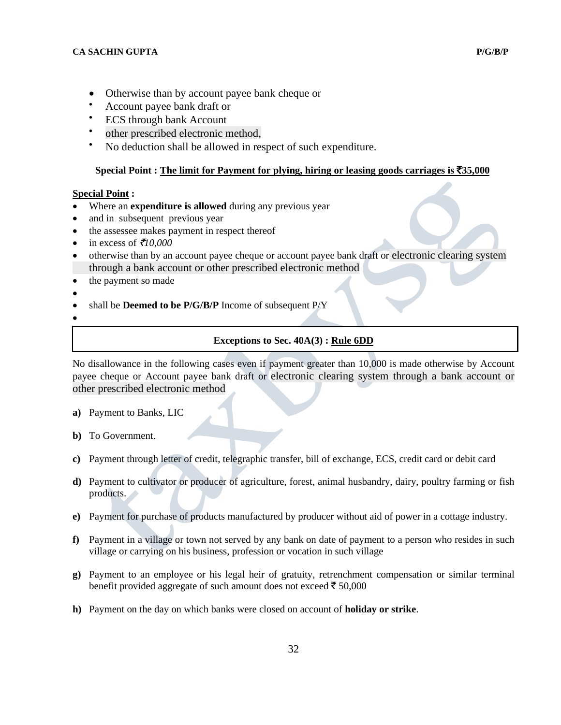- Otherwise than by account payee bank cheque or
- Account payee bank draft or
- **ECS** through bank Account
- other prescribed electronic method,
- No deduction shall be allowed in respect of such expenditure.

## **Special Point : The limit for Payment for plying, hiring or leasing goods carriages is** `**35,000**

## **Special Point :**

- Where an **expenditure is allowed** during any previous year
- and in subsequent previous year
- the assessee makes payment in respect thereof
- in excess of  $\bar{\tau}/10,000$
- otherwise than by an account payee cheque or account payee bank draft or electronic clearing system through a bank account or other prescribed electronic method
- the payment so made
- •
- shall be **Deemed to be P/G/B/P** Income of subsequent P/Y
- •

 $\overline{\phantom{a}}$ 

## **Exceptions to Sec. 40A(3) : Rule 6DD**

No disallowance in the following cases even if payment greater than 10,000 is made otherwise by Account payee cheque or Account payee bank draft or electronic clearing system through a bank account or other prescribed electronic method

- **a)** Payment to Banks, LIC
- **b)** To Government.
- **c)** Payment through letter of credit, telegraphic transfer, bill of exchange, ECS, credit card or debit card
- **d)** Payment to cultivator or producer of agriculture, forest, animal husbandry, dairy, poultry farming or fish products.
- **e)** Payment for purchase of products manufactured by producer without aid of power in a cottage industry.
- **f)** Payment in a village or town not served by any bank on date of payment to a person who resides in such village or carrying on his business, profession or vocation in such village
- **g)** Payment to an employee or his legal heir of gratuity, retrenchment compensation or similar terminal benefit provided aggregate of such amount does not exceed  $\bar{\epsilon}$  50,000
- **h)** Payment on the day on which banks were closed on account of **holiday or strike**.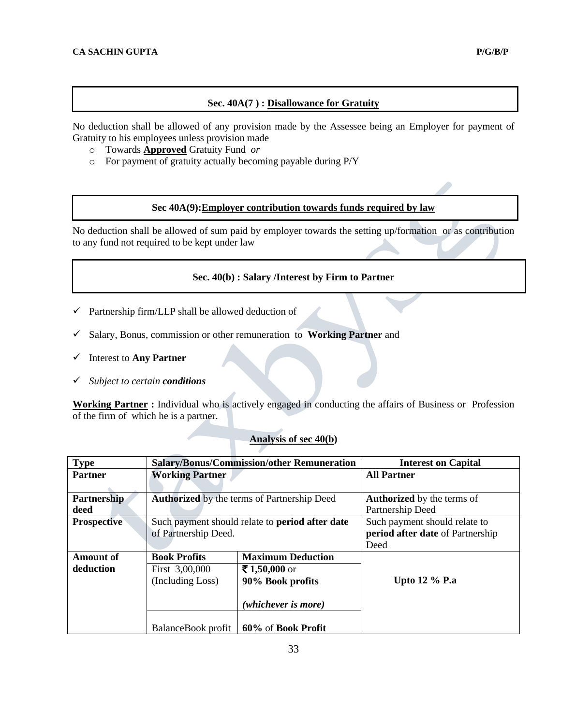# **Sec. 40A(7 ) : Disallowance for Gratuity**

No deduction shall be allowed of any provision made by the Assessee being an Employer for payment of Gratuity to his employees unless provision made

- o Towards **Approved** Gratuity Fund *or*
- o For payment of gratuity actually becoming payable during P/Y

## **Sec 40A(9):Employer contribution towards funds required by law**

No deduction shall be allowed of sum paid by employer towards the setting up/formation or as contribution to any fund not required to be kept under law

# **Sec. 40(b) : Salary /Interest by Firm to Partner**

- $\checkmark$  Partnership firm/LLP shall be allowed deduction of
- ✓ Salary, Bonus, commission or other remuneration to **Working Partner** and
- ✓ Interest to **Any Partner**
- ✓ *Subject to certain conditions*

**Working Partner :** Individual who is actively engaged in conducting the affairs of Business or Profession of the firm of which he is a partner.

# **Analysis of sec 40(b)**

| <b>Type</b>        |                                      | <b>Salary/Bonus/Commission/other Remuneration</b>      | <b>Interest on Capital</b>        |
|--------------------|--------------------------------------|--------------------------------------------------------|-----------------------------------|
| <b>Partner</b>     | <b>Working Partner</b>               |                                                        | <b>All Partner</b>                |
|                    |                                      |                                                        |                                   |
| <b>Partnership</b> |                                      | <b>Authorized</b> by the terms of Partnership Deed     | <b>Authorized</b> by the terms of |
| deed               |                                      |                                                        | Partnership Deed                  |
| <b>Prospective</b> |                                      | Such payment should relate to <b>period after date</b> | Such payment should relate to     |
|                    | of Partnership Deed.                 |                                                        | period after date of Partnership  |
|                    |                                      |                                                        | Deed                              |
| <b>Amount of</b>   | <b>Book Profits</b>                  | <b>Maximum Deduction</b>                               |                                   |
| deduction          | First 3,00,000                       | ₹1,50,000 or                                           |                                   |
|                    | (Including Loss)<br>90% Book profits |                                                        | <b>Upto 12 % P.a</b>              |
|                    |                                      | (whichever is more)                                    |                                   |
|                    | BalanceBook profit                   | 60% of Book Profit                                     |                                   |

33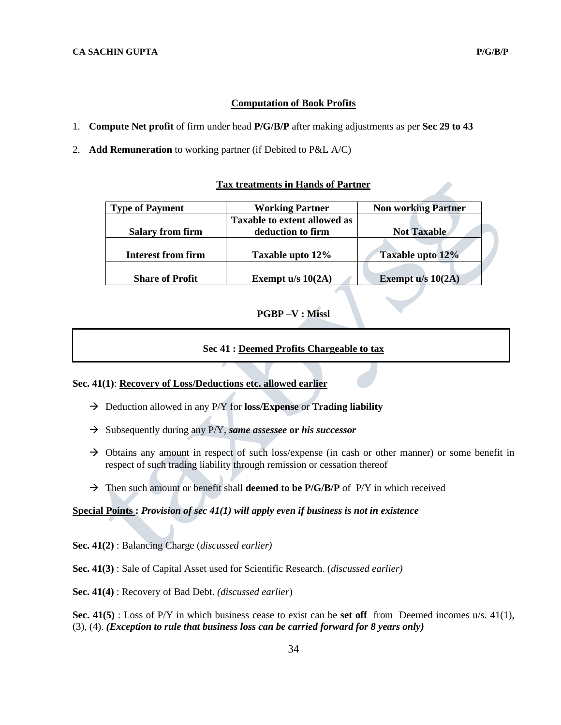# **Computation of Book Profits**

- 1. **Compute Net profit** of firm under head **P/G/B/P** after making adjustments as per **Sec 29 to 43**
- 2. **Add Remuneration** to working partner (if Debited to P&L A/C)

#### **Tax treatments in Hands of Partner**

| <b>Type of Payment</b>    | <b>Working Partner</b>              | <b>Non working Partner</b> |  |
|---------------------------|-------------------------------------|----------------------------|--|
|                           | <b>Taxable to extent allowed as</b> |                            |  |
| <b>Salary from firm</b>   | deduction to firm                   | <b>Not Taxable</b>         |  |
|                           |                                     |                            |  |
| <b>Interest from firm</b> | Taxable upto 12%                    | Taxable upto 12%           |  |
|                           |                                     |                            |  |
| <b>Share of Profit</b>    | Exempt $u/s$ 10(2A)                 | Exempt u/s 10(2A)          |  |

# **PGBP –V : Missl**

# **Sec 41 : Deemed Profits Chargeable to tax**

## **Sec. 41(1)**: **Recovery of Loss/Deductions etc. allowed earlier**

- → Deduction allowed in any P/Y for **loss/Expense** or **Trading liability**
- → Subsequently during any P/Y, *same assessee* **or** *his successor*
- $\rightarrow$  Obtains any amount in respect of such loss/expense (in cash or other manner) or some benefit in respect of such trading liability through remission or cessation thereof
- → Then such amount or benefit shall **deemed to be P/G/B/P** of P/Y in which received

#### **Special Points :** *Provision of sec 41(1) will apply even if business is not in existence*

**Sec. 41(2)** : Balancing Charge (*discussed earlier)*

# **Sec. 41(3)** : Sale of Capital Asset used for Scientific Research. (*discussed earlier)*

**Sec. 41(4)** : Recovery of Bad Debt. *(discussed earlier*)

**Sec. 41(5)** : Loss of P/Y in which business cease to exist can be **set off** from Deemed incomes u/s. 41(1), (3), (4). *(Exception to rule that business loss can be carried forward for 8 years only)*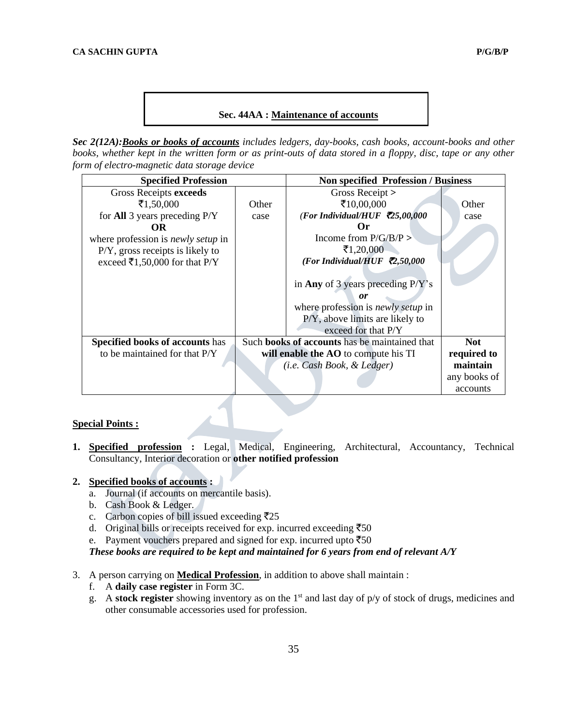*Sec 2(12A):Books or books of accounts includes ledgers, day-books, cash books, account-books and other books, whether kept in the written form or as print-outs of data stored in a floppy, disc, tape or any other form of electro-magnetic data storage device*

| <b>Specified Profession</b>               |                                      | <b>Non specified Profession / Business</b>           |              |
|-------------------------------------------|--------------------------------------|------------------------------------------------------|--------------|
| Gross Receipts exceeds                    |                                      | Gross Receipt $>$                                    |              |
| ₹1,50,000                                 | Other                                | ₹10,00,000                                           | Other        |
| for <b>All</b> 3 years preceding $P/Y$    | case                                 | (For Individual/HUF $\bar{\mathcal{L}}$ 5,00,000     | case         |
| OR.                                       |                                      | Or                                                   |              |
| where profession is <i>newly setup</i> in |                                      | Income from $P/G/B/P >$                              |              |
| $P/Y$ , gross receipts is likely to       |                                      | ₹1,20,000                                            |              |
| exceed ₹1,50,000 for that P/Y             |                                      | (For Individual/HUF $\bar{\mathcal{L}}$ ,50,000      |              |
|                                           |                                      |                                                      |              |
|                                           |                                      | in Any of 3 years preceding $P/Y$ 's                 |              |
|                                           |                                      | or                                                   |              |
|                                           |                                      | where profession is <i>newly setup</i> in            |              |
|                                           |                                      | $P/Y$ , above limits are likely to                   |              |
|                                           |                                      | exceed for that $P/Y$                                |              |
| <b>Specified books of accounts has</b>    |                                      | Such <b>books of accounts</b> has be maintained that | <b>Not</b>   |
| to be maintained for that P/Y             | will enable the AO to compute his TI |                                                      | required to  |
|                                           | (i.e. Cash Book, & Ledger)           |                                                      | maintain     |
|                                           |                                      |                                                      | any books of |
|                                           |                                      |                                                      | accounts     |

#### **Special Points :**

**1. Specified profession :** Legal, Medical, Engineering, Architectural, Accountancy, Technical Consultancy, Interior decoration or **other notified profession**

#### **2. Specified books of accounts :**

- a. Journal (if accounts on mercantile basis).
- b. Cash Book & Ledger.
- c. Carbon copies of bill issued exceeding  $\overline{\mathfrak{Z}}25$
- d. Original bills or receipts received for exp. incurred exceeding  $\overline{5}50$
- e. Payment vouchers prepared and signed for exp. incurred upto  $\overline{550}$

*These books are required to be kept and maintained for 6 years from end of relevant A/Y*

# 3. A person carrying on **Medical Profession**, in addition to above shall maintain :

- f. A **daily case register** in Form 3C.
- g. A **stock register** showing inventory as on the 1st and last day of p/y of stock of drugs, medicines and other consumable accessories used for profession.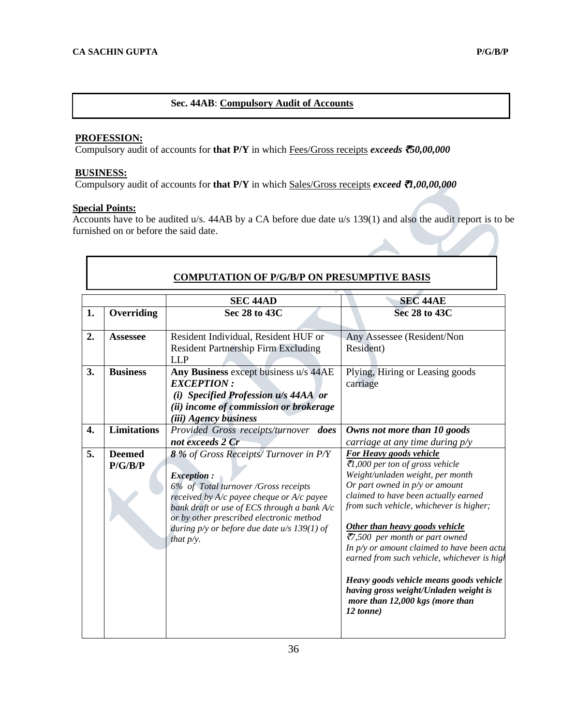# **Sec. 44AB**: **Compulsory Audit of Accounts**

# **PROFESSION:**

Compulsory audit of accounts for **that P/Y** in which Fees/Gross receipts *exceeds* `*50,00,000*

# **BUSINESS:**

Compulsory audit of accounts for **that P/Y** in which Sales/Gross receipts *exceed* `*1,00,00,000*

# **Special Points:**

Accounts have to be audited u/s. 44AB by a CA before due date u/s 139(1) and also the audit report is to be furnished on or before the said date.

|                    |                          | <b>SEC 44AD</b>                                                                                                                                                                                                                                                                                               | <b>SEC 44AE</b>                                                                                                                                                                                                                                                                                                                                                                                                                                                                                                                     |
|--------------------|--------------------------|---------------------------------------------------------------------------------------------------------------------------------------------------------------------------------------------------------------------------------------------------------------------------------------------------------------|-------------------------------------------------------------------------------------------------------------------------------------------------------------------------------------------------------------------------------------------------------------------------------------------------------------------------------------------------------------------------------------------------------------------------------------------------------------------------------------------------------------------------------------|
| 1.                 | Overriding               | Sec 28 to 43C                                                                                                                                                                                                                                                                                                 | Sec 28 to 43C                                                                                                                                                                                                                                                                                                                                                                                                                                                                                                                       |
| 2.                 | <b>Assessee</b>          | Resident Individual, Resident HUF or<br><b>Resident Partnership Firm Excluding</b><br><b>LLP</b>                                                                                                                                                                                                              | Any Assessee (Resident/Non<br>Resident)                                                                                                                                                                                                                                                                                                                                                                                                                                                                                             |
| 3.                 | <b>Business</b>          | Any Business except business u/s 44AE<br><b>EXCEPTION:</b><br>(i) Specified Profession u/s 44AA or<br>(ii) income of commission or brokerage<br><i>(iii)</i> Agency business                                                                                                                                  | Plying, Hiring or Leasing goods<br>carriage                                                                                                                                                                                                                                                                                                                                                                                                                                                                                         |
| $\boldsymbol{4}$ . | <b>Limitations</b>       | Provided Gross receipts/turnover does<br>not exceeds 2 Cr                                                                                                                                                                                                                                                     | Owns not more than 10 goods<br>carriage at any time during $p/y$                                                                                                                                                                                                                                                                                                                                                                                                                                                                    |
| 5.                 | <b>Deemed</b><br>P/G/B/P | 8 % of Gross Receipts/Turnover in P/Y<br><b>Exception:</b><br>6% of Total turnover /Gross receipts<br>received by A/c payee cheque or A/c payee<br>bank draft or use of ECS through a bank A/c<br>or by other prescribed electronic method<br>during $p/y$ or before due date $u/s$ 139(1) of<br>that $p/y$ . | <b>For Heavy goods vehicle</b><br>₹1,000 per ton of gross vehicle<br>Weight/unladen weight, per month<br>Or part owned in $p/y$ or amount<br>claimed to have been actually earned<br>from such vehicle, whichever is higher;<br>Other than heavy goods vehicle<br>₹7,500 per month or part owned<br>In $p/y$ or amount claimed to have been actu<br>earned from such vehicle, whichever is high<br>Heavy goods vehicle means goods vehicle<br>having gross weight/Unladen weight is<br>more than 12,000 kgs (more than<br>12 tonne) |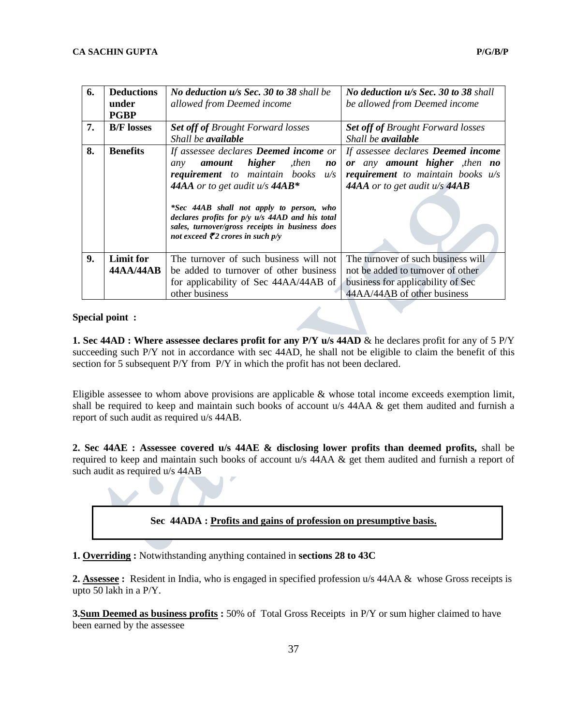| 6. | <b>Deductions</b><br>under<br><b>PGBP</b> | No deduction u/s Sec. 30 to 38 shall be<br>allowed from Deemed income                                                                                                                                                                                                                                                                                                        | No deduction u/s Sec. 30 to 38 shall<br>be allowed from Deemed income                                                                                               |  |
|----|-------------------------------------------|------------------------------------------------------------------------------------------------------------------------------------------------------------------------------------------------------------------------------------------------------------------------------------------------------------------------------------------------------------------------------|---------------------------------------------------------------------------------------------------------------------------------------------------------------------|--|
| 7. | <b>B/F</b> losses                         | <b>Set off of Brought Forward losses</b><br>Shall be <b>available</b>                                                                                                                                                                                                                                                                                                        | <b>Set off of Brought Forward losses</b><br>Shall be <b>available</b>                                                                                               |  |
| 8. | <b>Benefits</b>                           | If assessee declares <b>Deemed income</b> or<br>amount higher<br>, then<br>any<br>no<br>requirement to maintain books<br>u/s<br>44AA or to get audit $u/s$ 44AB*<br>*Sec 44AB shall not apply to person, who<br>declares profits for $p/y$ $u/s$ 44AD and his total<br>sales, turnover/gross receipts in business does<br>not exceed $\bar{\mathbf{z}}_2$ crores in such p/y | If assessee declares <b>Deemed</b> income<br>or any amount higher , then no<br>requirement to maintain books $u/s$<br><b>44AA</b> or to get audit $u/s$ <b>44AB</b> |  |
| 9. | <b>Limit for</b>                          | The turnover of such business will not                                                                                                                                                                                                                                                                                                                                       | The turnover of such business will                                                                                                                                  |  |
|    | 44AA/44AB                                 | be added to turnover of other business                                                                                                                                                                                                                                                                                                                                       | not be added to turnover of other                                                                                                                                   |  |
|    |                                           | for applicability of Sec 44AA/44AB of<br>other business                                                                                                                                                                                                                                                                                                                      | business for applicability of Sec<br>44AA/44AB of other business                                                                                                    |  |

#### **Special point :**

**1. Sec 44AD : Where assessee declares profit for any P/Y u/s 44AD** & he declares profit for any of 5 P/Y succeeding such P/Y not in accordance with sec 44AD, he shall not be eligible to claim the benefit of this section for 5 subsequent P/Y from P/Y in which the profit has not been declared.

Eligible assessee to whom above provisions are applicable & whose total income exceeds exemption limit, shall be required to keep and maintain such books of account u/s [44AA](javascript:ShowMainContent() & get them audited and furnish a report of such audit as required u/s 44AB.

**2. Sec 44AE : Assessee covered u/s 44AE & disclosing lower profits than deemed profits,** shall be required to keep and maintain such books of account u/s [44AA](javascript:ShowMainContent() & get them audited and furnish a report of such audit as required u/s 44AB



**1. Overriding :** Notwithstanding anything contained in **sections 28 to 43C**

**2. Assessee :** Resident in India, who is engaged in specified profession u/s 44AA & whose Gross receipts is upto 50 lakh in a P/Y.

**3.Sum Deemed as business profits :** 50% of Total Gross Receipts in P/Y or sum higher claimed to have been earned by the assessee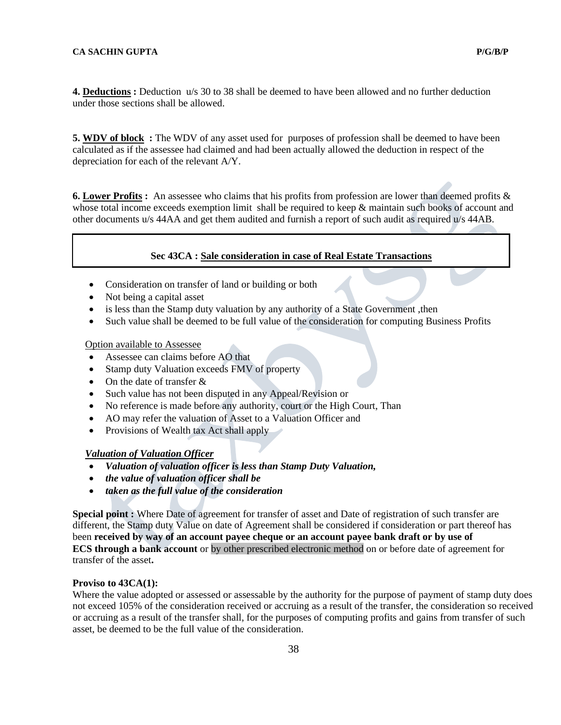**4. Deductions :** Deduction u/s 30 to 38 shall be deemed to have been allowed and no further deduction under those sections shall be allowed.

**5. WDV of block :** The WDV of any asset used for purposes of profession shall be deemed to have been calculated as if the assessee had claimed and had been actually allowed the deduction in respect of the depreciation for each of the relevant A/Y.

**6. Lower Profits :** An assessee who claims that his profits from profession are lower than deemed profits & whose total income exceeds exemption limit shall be required to keep & maintain such books of account and other documents u/s 44AA and get them audited and furnish a report of such audit as required u/s 44AB.

#### **Sec 43CA : Sale consideration in case of Real Estate Transactions**

- Consideration on transfer of land or building or both
- Not being a capital asset
- is less than the Stamp duty valuation by any authority of a State Government, then
- Such value shall be deemed to be full value of the consideration for computing Business Profits

#### Option available to Assessee

- Assessee can claims before AO that
- Stamp duty Valuation exceeds FMV of property
- On the date of transfer  $&$
- Such value has not been disputed in any Appeal/Revision or
- No reference is made before any authority, court or the High Court, Than
- AO may refer the valuation of Asset to a Valuation Officer and
- Provisions of Wealth tax Act shall apply

#### *Valuation of Valuation Officer*

- *Valuation of valuation officer is less than Stamp Duty Valuation,*
- *the value of valuation officer shall be*
- *taken as the full value of the consideration*

**Special point :** Where Date of agreement for transfer of asset and Date of registration of such transfer are different, the Stamp duty Value on date of Agreement shall be considered if consideration or part thereof has been **received by way of an account payee cheque or an account payee bank draft or by use of ECS through a bank account** or by other prescribed electronic method on or before date of agreement for transfer of the asset**.**

#### **Proviso to 43CA(1):**

Where the value adopted or assessed or assessable by the authority for the purpose of payment of stamp duty does not exceed 105% of the consideration received or accruing as a result of the transfer, the consideration so received or accruing as a result of the transfer shall, for the purposes of computing profits and gains from transfer of such asset, be deemed to be the full value of the consideration.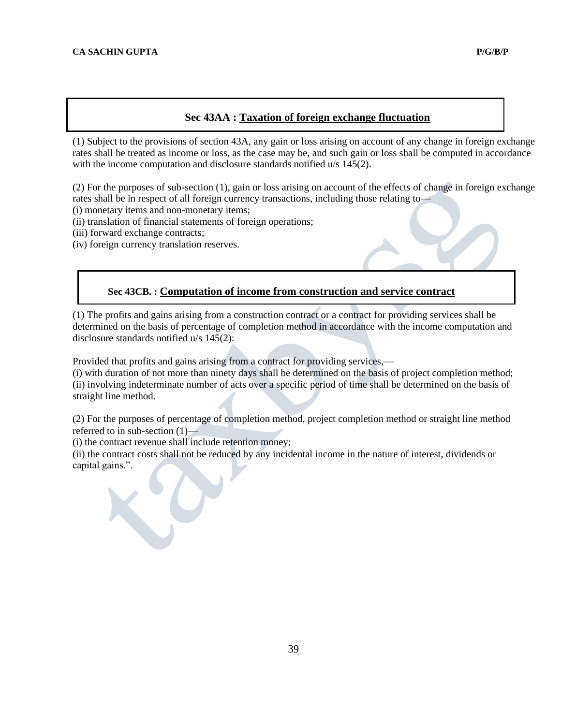# **Sec 43AA : Taxation of foreign exchange fluctuation**

(1) Subject to the provisions of section 43A, any gain or loss arising on account of any change in foreign exchange rates shall be treated as income or loss, as the case may be, and such gain or loss shall be computed in accordance with the income computation and disclosure standards notified u/s 145(2).

(2) For the purposes of sub-section (1), gain or loss arising on account of the effects of change in foreign exchange rates shall be in respect of all foreign currency transactions, including those relating to—

(i) monetary items and non-monetary items;

(ii) translation of financial statements of foreign operations;

(iii) forward exchange contracts;

(iv) foreign currency translation reserves.

# **Sec 43CB. : Computation of income from construction and service contract**

(1) The profits and gains arising from a construction contract or a contract for providing services shall be determined on the basis of percentage of completion method in accordance with the income computation and disclosure standards notified u/s 145(2):

Provided that profits and gains arising from a contract for providing services,—

(i) with duration of not more than ninety days shall be determined on the basis of project completion method; (ii) involving indeterminate number of acts over a specific period of time shall be determined on the basis of straight line method.

(2) For the purposes of percentage of completion method, project completion method or straight line method referred to in sub-section  $(1)$ —

(i) the contract revenue shall include retention money;

(ii) the contract costs shall not be reduced by any incidental income in the nature of interest, dividends or capital gains.".